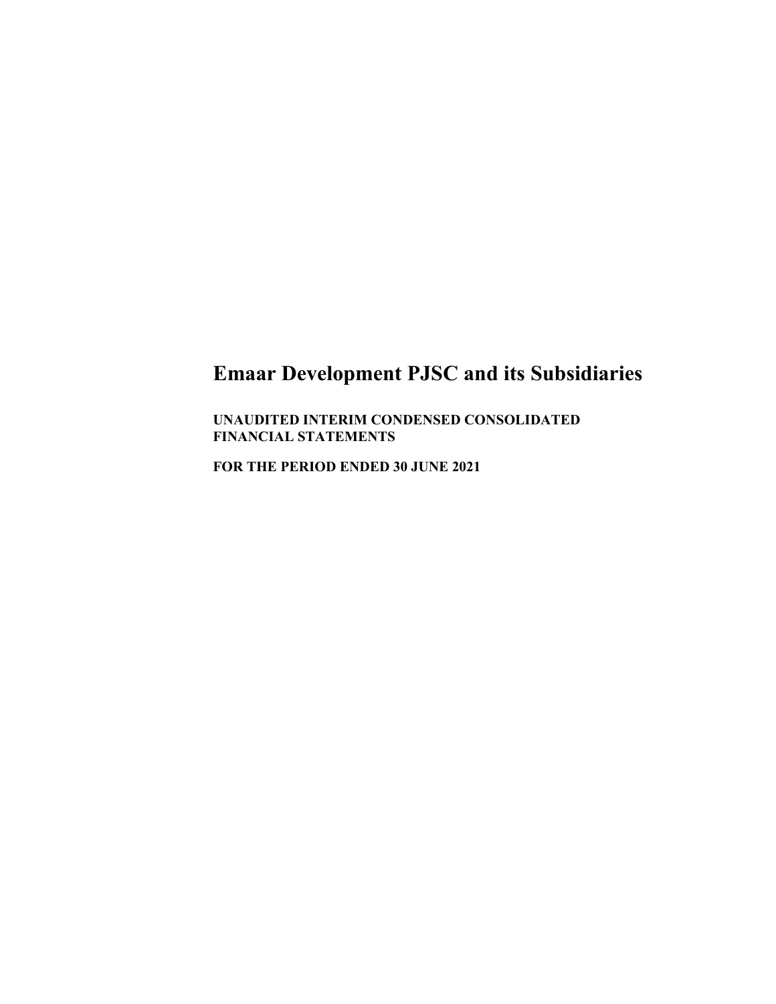**UNAUDITED INTERIM CONDENSED CONSOLIDATED FINANCIAL STATEMENTS** 

**FOR THE PERIOD ENDED 30 JUNE 2021**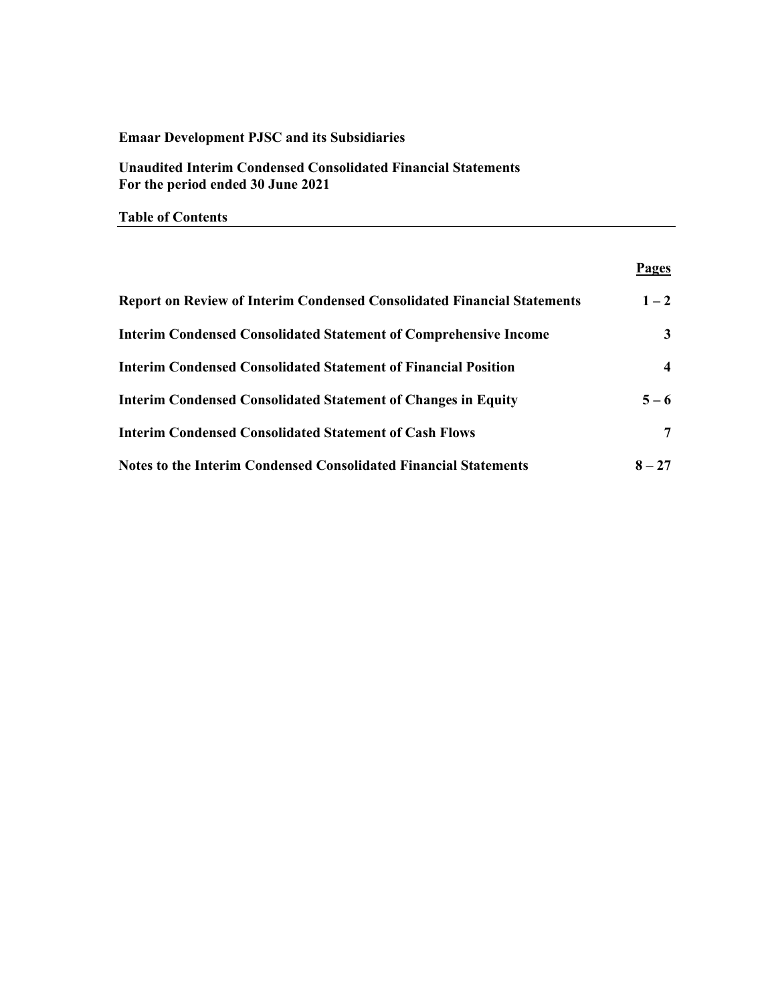**Unaudited Interim Condensed Consolidated Financial Statements For the period ended 30 June 2021** 

**Table of Contents** 

### **Pages**

| <b>Report on Review of Interim Condensed Consolidated Financial Statements</b> | $1 - 2$  |
|--------------------------------------------------------------------------------|----------|
| <b>Interim Condensed Consolidated Statement of Comprehensive Income</b>        | 3        |
| <b>Interim Condensed Consolidated Statement of Financial Position</b>          | 4        |
| <b>Interim Condensed Consolidated Statement of Changes in Equity</b>           | $5 - 6$  |
| <b>Interim Condensed Consolidated Statement of Cash Flows</b>                  | 7        |
| <b>Notes to the Interim Condensed Consolidated Financial Statements</b>        | $8 - 27$ |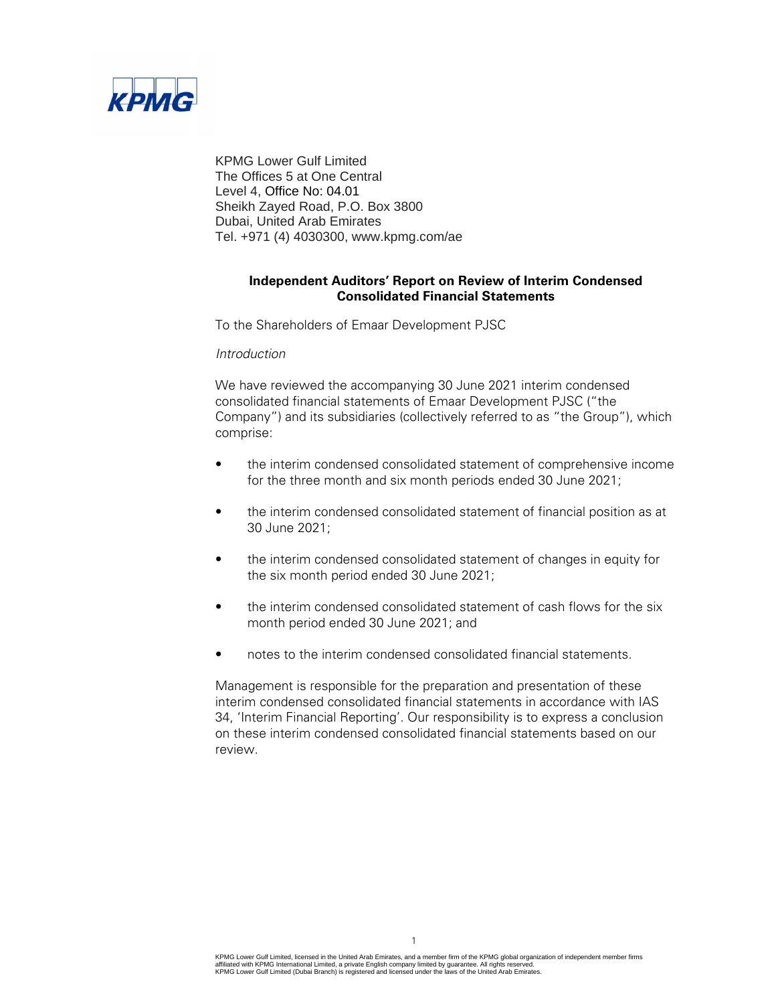

KPMG Lower Gulf Limited The Offices 5 at One Central Level 4, Office No: 04.01 Sheikh Zayed Road, P.O. Box 3800 Dubai, United Arab Emirates Tel. +971 (4) 4030300, www.kpmg.com/ae

### **Independent Auditors' Report on Review of Interim Condensed Consolidated Financial Statements**

To the Shareholders of Emaar Development PJSC

#### *Introduction*

We have reviewed the accompanying 30 June 2021 interim condensed consolidated financial statements of Emaar Development PJSC ("the Company") and its subsidiaries (collectively referred to as "the Group"), which comprise:

- the interim condensed consolidated statement of comprehensive income for the three month and six month periods ended 30 June 2021;
- the interim condensed consolidated statement of financial position as at 30 June 2021;
- the interim condensed consolidated statement of changes in equity for the six month period ended 30 June 2021;
- the interim condensed consolidated statement of cash flows for the six month period ended 30 June 2021; and
- notes to the interim condensed consolidated financial statements.

Management is responsible for the preparation and presentation of these interim condensed consolidated financial statements in accordance with IAS 34, 'Interim Financial Reporting'. Our responsibility is to express a conclusion on these interim condensed consolidated financial statements based on our review.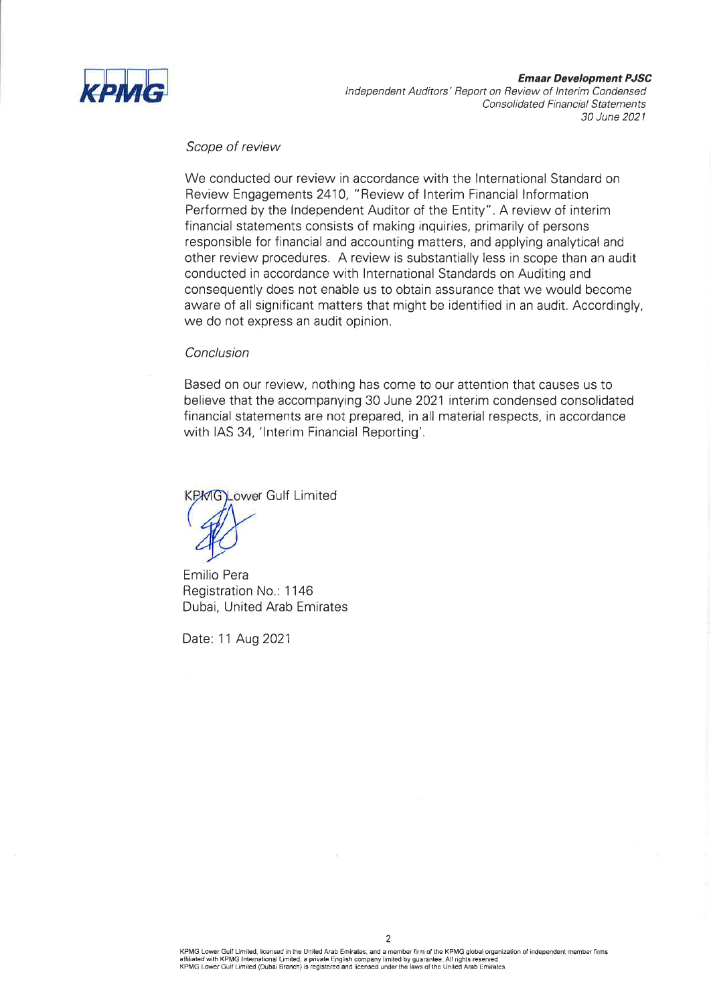

### **Emaar Development PJSC** Independent Auditors' Report on Review of Interim Condensed

**Consolidated Financial Statements** 30 June 2021

### Scope of review

We conducted our review in accordance with the International Standard on Review Engagements 2410, "Review of Interim Financial Information Performed by the Independent Auditor of the Entity". A review of interim financial statements consists of making inquiries, primarily of persons responsible for financial and accounting matters, and applying analytical and other review procedures. A review is substantially less in scope than an audit conducted in accordance with International Standards on Auditing and consequently does not enable us to obtain assurance that we would become aware of all significant matters that might be identified in an audit. Accordingly, we do not express an audit opinion.

### Conclusion

Based on our review, nothing has come to our attention that causes us to believe that the accompanying 30 June 2021 interim condensed consolidated financial statements are not prepared, in all material respects, in accordance with IAS 34, 'Interim Financial Reporting'.

**KPMGLower Gulf Limited** 

Emilio Pera Registration No.: 1146 Dubai, United Arab Emirates

Date: 11 Aug 2021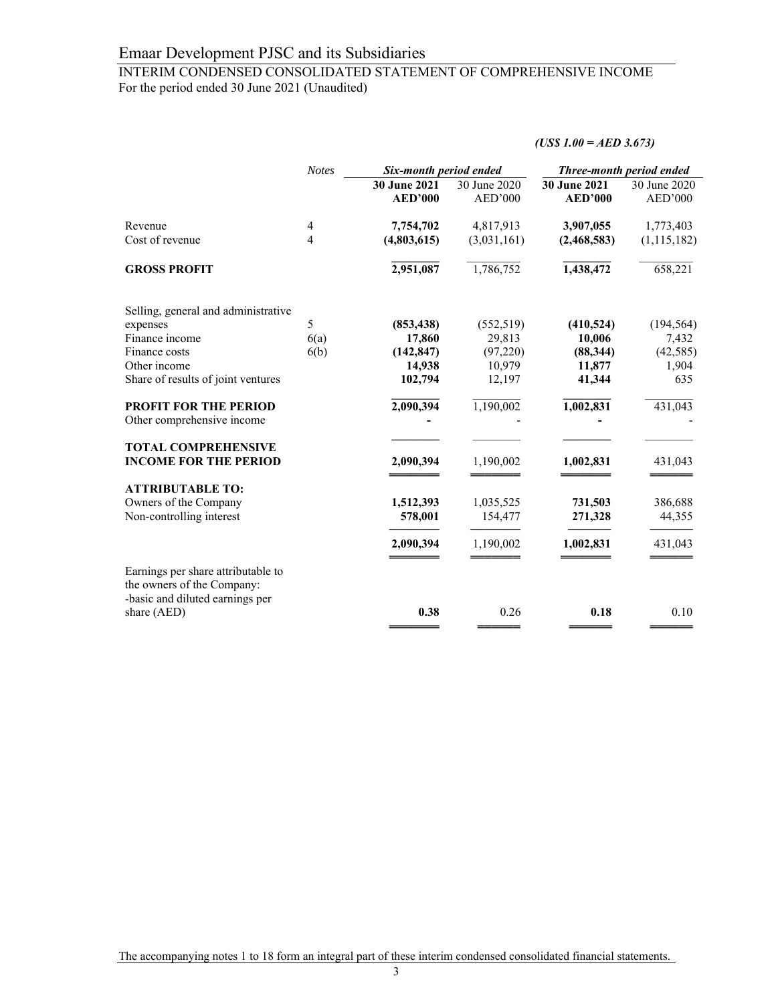# INTERIM CONDENSED CONSOLIDATED STATEMENT OF COMPREHENSIVE INCOME For the period ended 30 June 2021 (Unaudited)

#### *(US\$ 1.00 = AED 3.673)*

|                                                                                                     | <b>Notes</b> | Six-month period ended |              | Three-month period ended |              |  |
|-----------------------------------------------------------------------------------------------------|--------------|------------------------|--------------|--------------------------|--------------|--|
|                                                                                                     |              | 30 June 2021           | 30 June 2020 | 30 June 2021             | 30 June 2020 |  |
|                                                                                                     |              | <b>AED'000</b>         | AED'000      | <b>AED'000</b>           | AED'000      |  |
| Revenue                                                                                             | 4            | 7,754,702              | 4,817,913    | 3,907,055                | 1,773,403    |  |
| Cost of revenue                                                                                     | 4            | (4,803,615)            | (3,031,161)  | (2,468,583)              | (1,115,182)  |  |
| <b>GROSS PROFIT</b>                                                                                 |              | 2,951,087              | 1,786,752    | 1,438,472                | 658,221      |  |
| Selling, general and administrative                                                                 |              |                        |              |                          |              |  |
| expenses                                                                                            | 5            | (853, 438)             | (552, 519)   | (410, 524)               | (194, 564)   |  |
| Finance income                                                                                      | 6(a)         | 17,860                 | 29,813       | 10,006                   | 7,432        |  |
| Finance costs                                                                                       | 6(b)         | (142, 847)             | (97,220)     | (88, 344)                | (42, 585)    |  |
| Other income                                                                                        |              | 14,938                 | 10,979       | 11,877                   | 1,904        |  |
| Share of results of joint ventures                                                                  |              | 102,794                | 12,197       | 41,344                   | 635          |  |
| <b>PROFIT FOR THE PERIOD</b>                                                                        |              | 2,090,394              | 1,190,002    | 1,002,831                | 431,043      |  |
| Other comprehensive income                                                                          |              |                        |              |                          |              |  |
| <b>TOTAL COMPREHENSIVE</b>                                                                          |              |                        |              |                          |              |  |
| <b>INCOME FOR THE PERIOD</b>                                                                        |              | 2,090,394              | 1,190,002    | 1,002,831                | 431,043      |  |
| <b>ATTRIBUTABLE TO:</b>                                                                             |              |                        |              |                          |              |  |
| Owners of the Company                                                                               |              | 1,512,393              | 1,035,525    | 731,503                  | 386,688      |  |
| Non-controlling interest                                                                            |              | 578,001                | 154,477      | 271,328                  | 44,355       |  |
|                                                                                                     |              | 2,090,394              | 1,190,002    | 1,002,831                | 431,043      |  |
| Earnings per share attributable to<br>the owners of the Company:<br>-basic and diluted earnings per |              |                        |              |                          |              |  |
| share (AED)                                                                                         |              | 0.38                   | 0.26         | 0.18                     | 0.10         |  |
|                                                                                                     |              |                        |              |                          |              |  |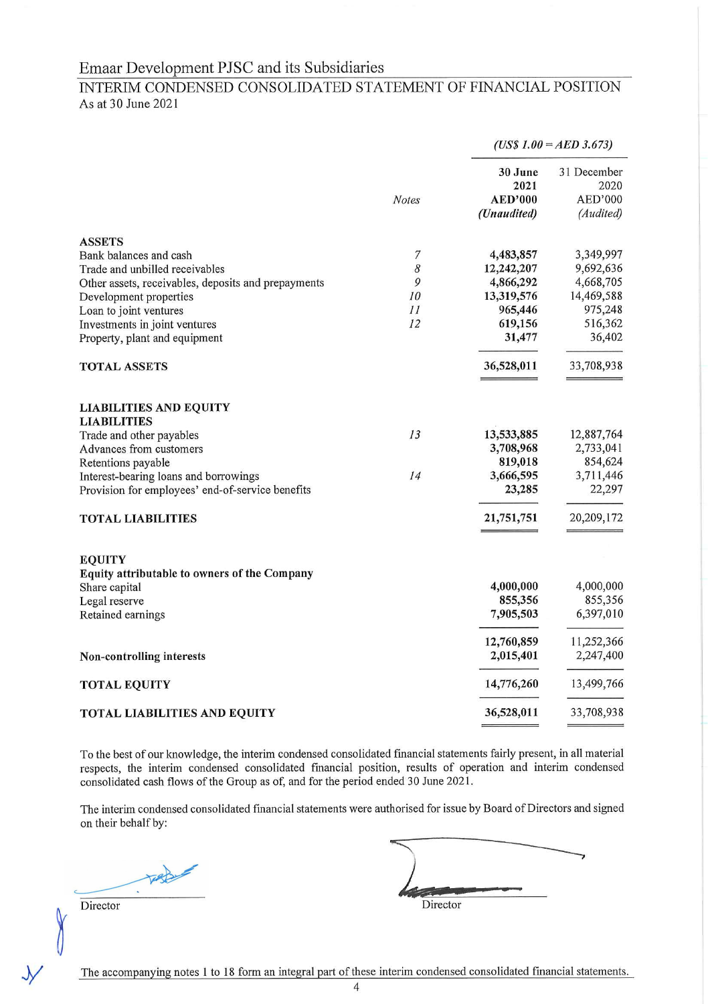# INTERIM CONDENSED CONSOLIDATED STATEMENT OF FINANCIAL POSITION As at 30 June 2021

|                                                                                                                                                                                                                                                                               |                                              |                                                                                                  | $(US$ 1.00 = AED 3.673)$                                                                        |
|-------------------------------------------------------------------------------------------------------------------------------------------------------------------------------------------------------------------------------------------------------------------------------|----------------------------------------------|--------------------------------------------------------------------------------------------------|-------------------------------------------------------------------------------------------------|
|                                                                                                                                                                                                                                                                               | <b>Notes</b>                                 | 30 June<br>2021<br><b>AED'000</b><br>(Unaudited)                                                 | 31 December<br>2020<br>AED'000<br>(Audited)                                                     |
| <b>ASSETS</b><br>Bank balances and cash<br>Trade and unbilled receivables<br>Other assets, receivables, deposits and prepayments<br>Development properties<br>Loan to joint ventures<br>Investments in joint ventures<br>Property, plant and equipment<br><b>TOTAL ASSETS</b> | $\boldsymbol{7}$<br>8<br>9<br>10<br>11<br>12 | 4,483,857<br>12,242,207<br>4,866,292<br>13,319,576<br>965,446<br>619,156<br>31,477<br>36,528,011 | 3,349,997<br>9,692,636<br>4,668,705<br>14,469,588<br>975,248<br>516,362<br>36,402<br>33,708,938 |
| <b>LIABILITIES AND EQUITY</b><br><b>LIABILITIES</b><br>Trade and other payables<br>Advances from customers                                                                                                                                                                    | 13                                           | 13,533,885<br>3,708,968                                                                          | 12,887,764<br>2,733,041                                                                         |
| Retentions payable<br>Interest-bearing loans and borrowings<br>Provision for employees' end-of-service benefits                                                                                                                                                               | 14                                           | 819,018<br>3,666,595<br>23,285                                                                   | 854,624<br>3,711,446<br>22,297                                                                  |
| <b>TOTAL LIABILITIES</b>                                                                                                                                                                                                                                                      |                                              | 21,751,751                                                                                       | 20,209,172                                                                                      |
| <b>EQUITY</b><br>Equity attributable to owners of the Company<br>Share capital<br>Legal reserve<br>Retained earnings                                                                                                                                                          |                                              | 4,000,000<br>855,356<br>7,905,503                                                                | 4,000,000<br>855,356<br>6,397,010                                                               |
| Non-controlling interests                                                                                                                                                                                                                                                     |                                              | 12,760,859<br>2,015,401                                                                          | 11,252,366<br>2,247,400                                                                         |
| <b>TOTAL EQUITY</b>                                                                                                                                                                                                                                                           |                                              | 14,776,260                                                                                       | 13,499,766                                                                                      |
| <b>TOTAL LIABILITIES AND EQUITY</b>                                                                                                                                                                                                                                           |                                              | 36,528,011                                                                                       | 33,708,938                                                                                      |

To the best of our knowledge, the interim condensed consolidated financial statements fairly present, in all material respects, the interim condensed consolidated financial position, results of operation and interim condensed consolidated cash flows of the Group as of, and for the period ended 30 June 2021.

The interim condensed consolidated financial statements were authorised for issue by Board of Directors and signed on their behalf by:

Director

Director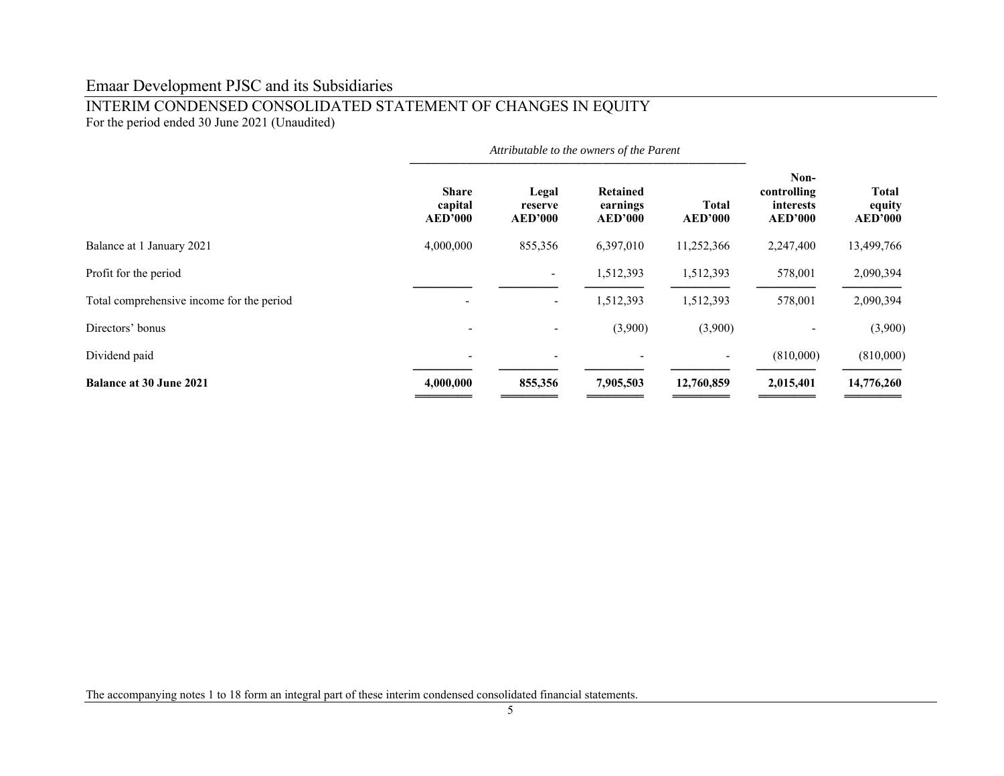# INTERIM CONDENSED CONSOLIDATED STATEMENT OF CHANGES IN EQUITY

For the period ended 30 June 2021 (Unaudited)

|                                           | Attributable to the owners of the Parent  |                                    |                                               |                                |                                                    |                                          |
|-------------------------------------------|-------------------------------------------|------------------------------------|-----------------------------------------------|--------------------------------|----------------------------------------------------|------------------------------------------|
|                                           | <b>Share</b><br>capital<br><b>AED'000</b> | Legal<br>reserve<br><b>AED'000</b> | <b>Retained</b><br>earnings<br><b>AED'000</b> | <b>Total</b><br><b>AED'000</b> | Non-<br>controlling<br>interests<br><b>AED'000</b> | <b>Total</b><br>equity<br><b>AED'000</b> |
| Balance at 1 January 2021                 | 4,000,000                                 | 855,356                            | 6,397,010                                     | 11,252,366                     | 2,247,400                                          | 13,499,766                               |
| Profit for the period                     |                                           | $\overline{\phantom{a}}$           | 1,512,393                                     | 1,512,393                      | 578,001                                            | 2,090,394                                |
| Total comprehensive income for the period |                                           |                                    | 1,512,393                                     | 1,512,393                      | 578,001                                            | 2,090,394                                |
| Directors' bonus                          |                                           |                                    | (3,900)                                       | (3,900)                        |                                                    | (3,900)                                  |
| Dividend paid                             | $\overline{\phantom{a}}$                  |                                    |                                               | $\overline{\phantom{a}}$       | (810,000)                                          | (810,000)                                |
| <b>Balance at 30 June 2021</b>            | 4,000,000                                 | 855,356                            | 7,905,503                                     | 12,760,859                     | 2,015,401                                          | 14,776,260                               |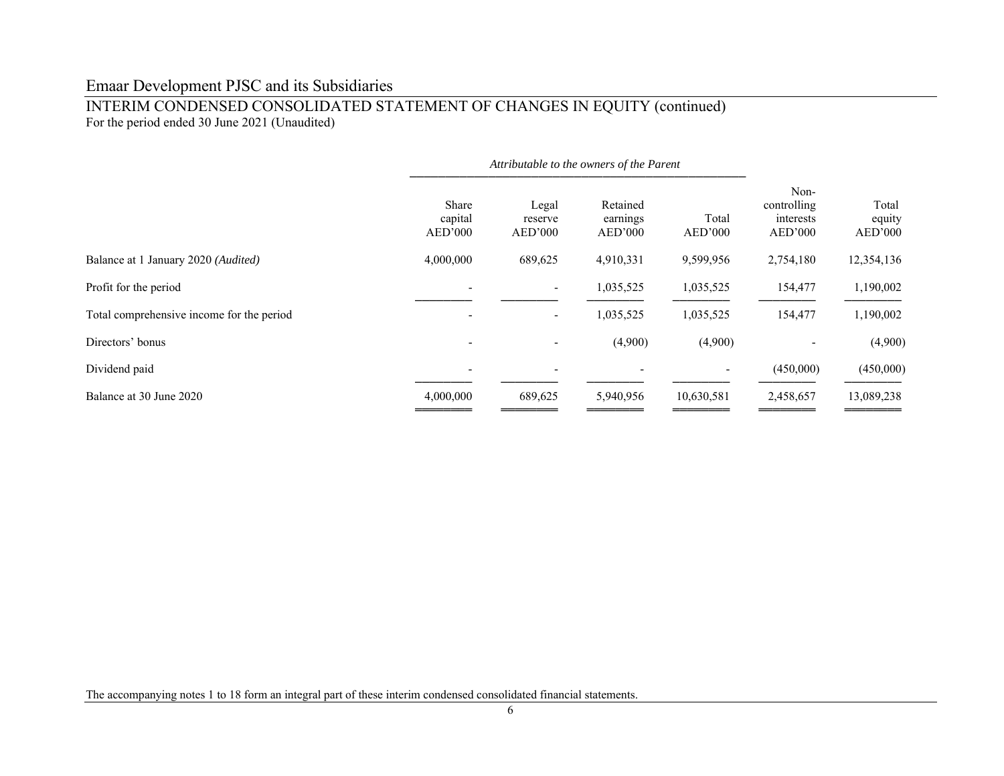# INTERIM CONDENSED CONSOLIDATED STATEMENT OF CHANGES IN EQUITY (continued) For the period ended 30 June 2021 (Unaudited)

|                                           |                             | Attributable to the owners of the Parent |                                 |                          |                                             |                            |
|-------------------------------------------|-----------------------------|------------------------------------------|---------------------------------|--------------------------|---------------------------------------------|----------------------------|
|                                           | Share<br>capital<br>AED'000 | Legal<br>reserve<br>AED'000              | Retained<br>earnings<br>AED'000 | Total<br>AED'000         | Non-<br>controlling<br>interests<br>AED'000 | Total<br>equity<br>AED'000 |
| Balance at 1 January 2020 (Audited)       | 4,000,000                   | 689,625                                  | 4,910,331                       | 9,599,956                | 2,754,180                                   | 12,354,136                 |
| Profit for the period                     |                             |                                          | 1,035,525                       | 1,035,525                | 154,477                                     | 1,190,002                  |
| Total comprehensive income for the period |                             |                                          | 1,035,525                       | 1,035,525                | 154,477                                     | 1,190,002                  |
| Directors' bonus                          |                             |                                          | (4,900)                         | (4,900)                  |                                             | (4,900)                    |
| Dividend paid                             |                             |                                          |                                 | $\overline{\phantom{a}}$ | (450,000)                                   | (450,000)                  |
| Balance at 30 June 2020                   | 4,000,000                   | 689,625                                  | 5,940,956                       | 10,630,581               | 2,458,657                                   | 13,089,238                 |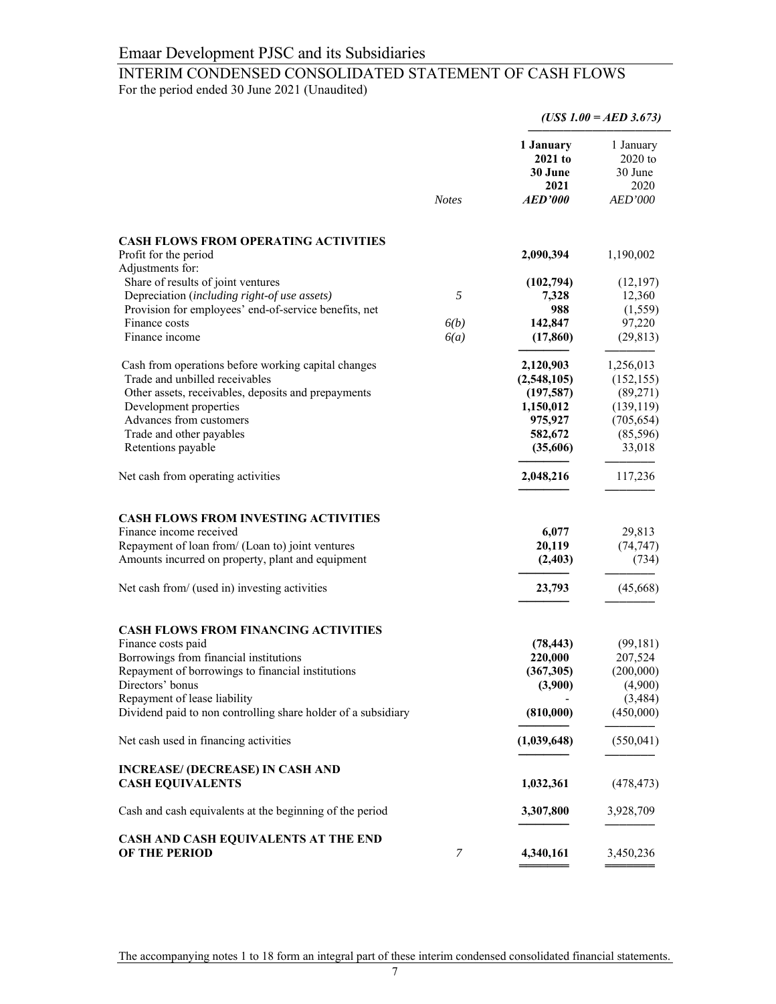# INTERIM CONDENSED CONSOLIDATED STATEMENT OF CASH FLOWS For the period ended 30 June 2021 (Unaudited)

|                                                                                       |              |                                   | $(US$ 1.00 = AED 3.673)$          |
|---------------------------------------------------------------------------------------|--------------|-----------------------------------|-----------------------------------|
|                                                                                       |              | 1 January<br>$2021$ to<br>30 June | 1 January<br>$2020$ to<br>30 June |
|                                                                                       |              | 2021                              | 2020                              |
|                                                                                       | <b>Notes</b> | <b>AED'000</b>                    | AED'000                           |
|                                                                                       |              |                                   |                                   |
|                                                                                       |              |                                   |                                   |
| <b>CASH FLOWS FROM OPERATING ACTIVITIES</b><br>Profit for the period                  |              | 2,090,394                         | 1,190,002                         |
| Adjustments for:                                                                      |              |                                   |                                   |
| Share of results of joint ventures                                                    |              | (102,794)                         | (12, 197)                         |
| Depreciation (including right-of use assets)                                          | 5            | 7,328                             | 12,360                            |
| Provision for employees' end-of-service benefits, net                                 |              | 988                               | (1, 559)                          |
| Finance costs                                                                         | 6(b)         | 142,847                           | 97,220                            |
| Finance income                                                                        | 6(a)         | (17, 860)                         | (29, 813)                         |
|                                                                                       |              | 2,120,903                         | 1,256,013                         |
| Cash from operations before working capital changes<br>Trade and unbilled receivables |              | (2,548,105)                       | (152, 155)                        |
| Other assets, receivables, deposits and prepayments                                   |              | (197, 587)                        | (89,271)                          |
| Development properties                                                                |              | 1,150,012                         | (139, 119)                        |
| Advances from customers                                                               |              | 975,927                           | (705, 654)                        |
| Trade and other payables                                                              |              | 582,672                           | (85, 596)                         |
| Retentions payable                                                                    |              | (35,606)                          | 33,018                            |
| Net cash from operating activities                                                    |              | 2,048,216                         | 117,236                           |
| <b>CASH FLOWS FROM INVESTING ACTIVITIES</b>                                           |              |                                   |                                   |
| Finance income received                                                               |              | 6,077                             | 29,813                            |
| Repayment of loan from/ (Loan to) joint ventures                                      |              | 20,119                            | (74, 747)                         |
| Amounts incurred on property, plant and equipment                                     |              | (2,403)                           | (734)                             |
| Net cash from/ (used in) investing activities                                         |              | 23,793                            | (45, 668)                         |
|                                                                                       |              |                                   |                                   |
| <b>CASH FLOWS FROM FINANCING ACTIVITIES</b>                                           |              |                                   |                                   |
| Finance costs paid<br>Borrowings from financial institutions                          |              | (78, 443)<br>220,000              | (99,181)<br>207,524               |
| Repayment of borrowings to financial institutions                                     |              | (367,305)                         | (200,000)                         |
| Directors' bonus                                                                      |              | (3,900)                           | (4,900)                           |
| Repayment of lease liability                                                          |              |                                   | (3,484)                           |
| Dividend paid to non controlling share holder of a subsidiary                         |              | (810,000)                         | (450,000)                         |
| Net cash used in financing activities                                                 |              | (1,039,648)                       | (550, 041)                        |
|                                                                                       |              |                                   |                                   |
| <b>INCREASE/ (DECREASE) IN CASH AND</b><br><b>CASH EQUIVALENTS</b>                    |              | 1,032,361                         |                                   |
|                                                                                       |              |                                   | (478, 473)                        |
| Cash and cash equivalents at the beginning of the period                              |              | 3,307,800                         | 3,928,709                         |
| CASH AND CASH EQUIVALENTS AT THE END                                                  |              |                                   |                                   |
| <b>OF THE PERIOD</b>                                                                  | 7            | 4,340,161                         | 3,450,236                         |
|                                                                                       |              |                                   |                                   |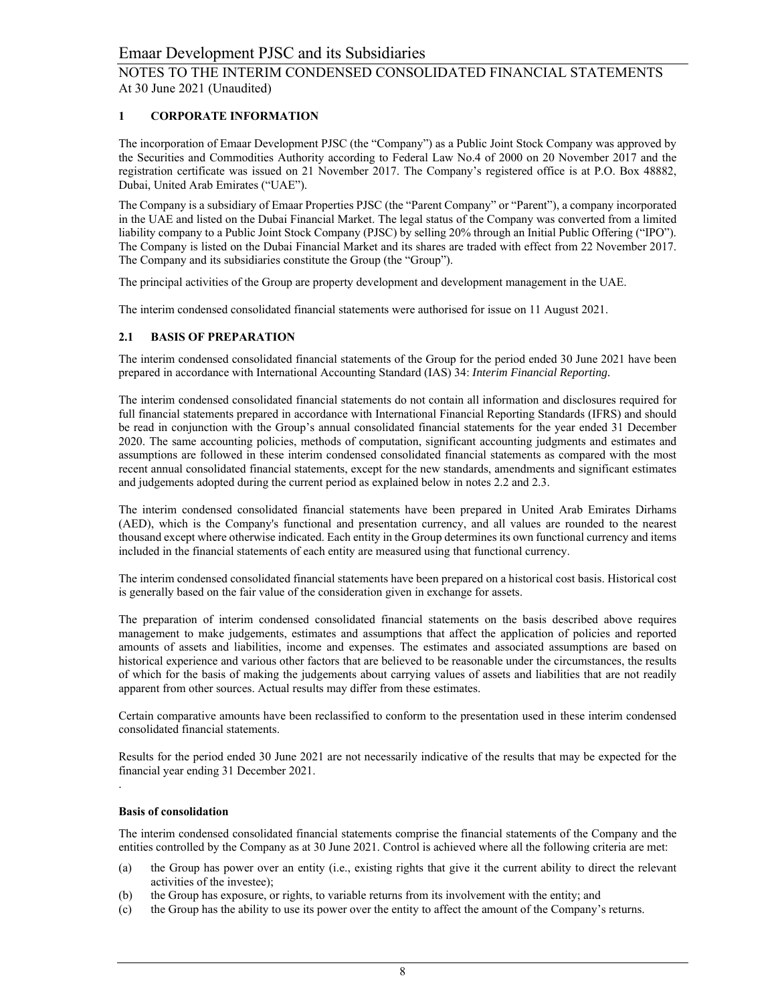## **1 CORPORATE INFORMATION**

The incorporation of Emaar Development PJSC (the "Company") as a Public Joint Stock Company was approved by the Securities and Commodities Authority according to Federal Law No.4 of 2000 on 20 November 2017 and the registration certificate was issued on 21 November 2017. The Company's registered office is at P.O. Box 48882, Dubai, United Arab Emirates ("UAE").

The Company is a subsidiary of Emaar Properties PJSC (the "Parent Company" or "Parent"), a company incorporated in the UAE and listed on the Dubai Financial Market. The legal status of the Company was converted from a limited liability company to a Public Joint Stock Company (PJSC) by selling 20% through an Initial Public Offering ("IPO"). The Company is listed on the Dubai Financial Market and its shares are traded with effect from 22 November 2017. The Company and its subsidiaries constitute the Group (the "Group").

The principal activities of the Group are property development and development management in the UAE.

The interim condensed consolidated financial statements were authorised for issue on 11 August 2021.

# **2.1 BASIS OF PREPARATION**

The interim condensed consolidated financial statements of the Group for the period ended 30 June 2021 have been prepared in accordance with International Accounting Standard (IAS) 34: *Interim Financial Reporting.*

The interim condensed consolidated financial statements do not contain all information and disclosures required for full financial statements prepared in accordance with International Financial Reporting Standards (IFRS) and should be read in conjunction with the Group's annual consolidated financial statements for the year ended 31 December 2020. The same accounting policies, methods of computation, significant accounting judgments and estimates and assumptions are followed in these interim condensed consolidated financial statements as compared with the most recent annual consolidated financial statements, except for the new standards, amendments and significant estimates and judgements adopted during the current period as explained below in notes 2.2 and 2.3.

The interim condensed consolidated financial statements have been prepared in United Arab Emirates Dirhams (AED), which is the Company's functional and presentation currency, and all values are rounded to the nearest thousand except where otherwise indicated. Each entity in the Group determines its own functional currency and items included in the financial statements of each entity are measured using that functional currency.

The interim condensed consolidated financial statements have been prepared on a historical cost basis. Historical cost is generally based on the fair value of the consideration given in exchange for assets.

The preparation of interim condensed consolidated financial statements on the basis described above requires management to make judgements, estimates and assumptions that affect the application of policies and reported amounts of assets and liabilities, income and expenses. The estimates and associated assumptions are based on historical experience and various other factors that are believed to be reasonable under the circumstances, the results of which for the basis of making the judgements about carrying values of assets and liabilities that are not readily apparent from other sources. Actual results may differ from these estimates.

Certain comparative amounts have been reclassified to conform to the presentation used in these interim condensed consolidated financial statements.

Results for the period ended 30 June 2021 are not necessarily indicative of the results that may be expected for the financial year ending 31 December 2021. .

### **Basis of consolidation**

The interim condensed consolidated financial statements comprise the financial statements of the Company and the entities controlled by the Company as at 30 June 2021. Control is achieved where all the following criteria are met:

- (a) the Group has power over an entity (i.e., existing rights that give it the current ability to direct the relevant activities of the investee);
- (b) the Group has exposure, or rights, to variable returns from its involvement with the entity; and
- (c) the Group has the ability to use its power over the entity to affect the amount of the Company's returns.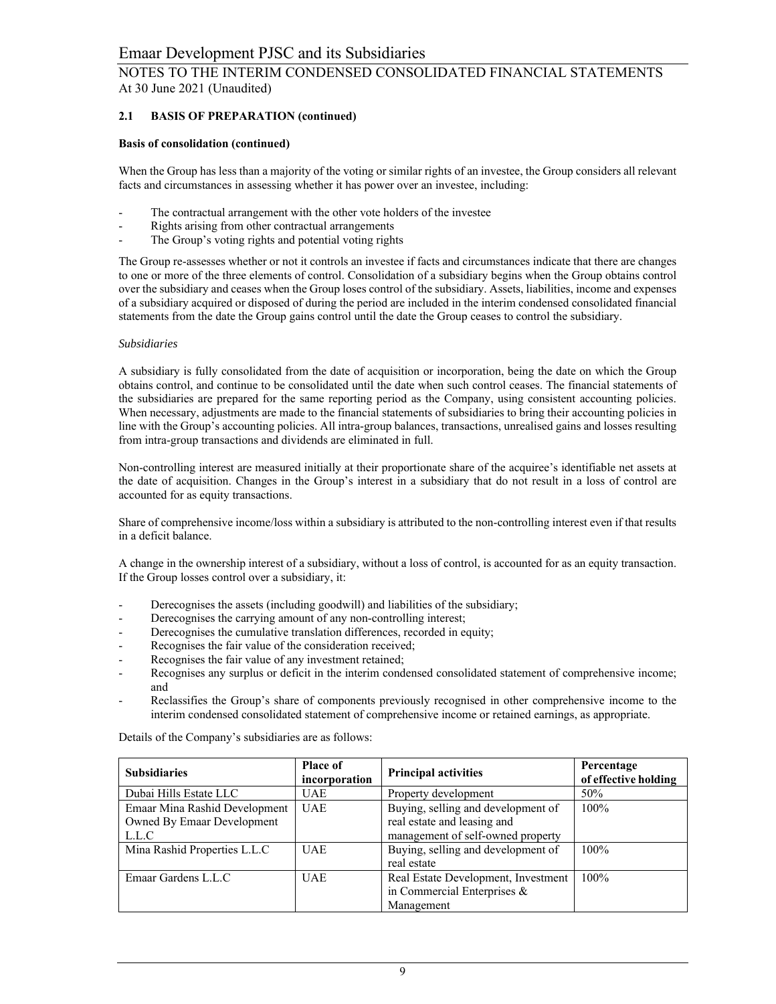### **2.1 BASIS OF PREPARATION (continued)**

#### **Basis of consolidation (continued)**

When the Group has less than a majority of the voting or similar rights of an investee, the Group considers all relevant facts and circumstances in assessing whether it has power over an investee, including:

- The contractual arrangement with the other vote holders of the investee
- Rights arising from other contractual arrangements
- The Group's voting rights and potential voting rights

The Group re-assesses whether or not it controls an investee if facts and circumstances indicate that there are changes to one or more of the three elements of control. Consolidation of a subsidiary begins when the Group obtains control over the subsidiary and ceases when the Group loses control of the subsidiary. Assets, liabilities, income and expenses of a subsidiary acquired or disposed of during the period are included in the interim condensed consolidated financial statements from the date the Group gains control until the date the Group ceases to control the subsidiary.

#### *Subsidiaries*

A subsidiary is fully consolidated from the date of acquisition or incorporation, being the date on which the Group obtains control, and continue to be consolidated until the date when such control ceases. The financial statements of the subsidiaries are prepared for the same reporting period as the Company, using consistent accounting policies. When necessary, adjustments are made to the financial statements of subsidiaries to bring their accounting policies in line with the Group's accounting policies. All intra-group balances, transactions, unrealised gains and losses resulting from intra-group transactions and dividends are eliminated in full.

Non-controlling interest are measured initially at their proportionate share of the acquiree's identifiable net assets at the date of acquisition. Changes in the Group's interest in a subsidiary that do not result in a loss of control are accounted for as equity transactions.

Share of comprehensive income/loss within a subsidiary is attributed to the non-controlling interest even if that results in a deficit balance.

A change in the ownership interest of a subsidiary, without a loss of control, is accounted for as an equity transaction. If the Group losses control over a subsidiary, it:

- Derecognises the assets (including goodwill) and liabilities of the subsidiary;
- Derecognises the carrying amount of any non-controlling interest;
- Derecognises the cumulative translation differences, recorded in equity;
- Recognises the fair value of the consideration received;
- Recognises the fair value of any investment retained;
- Recognises any surplus or deficit in the interim condensed consolidated statement of comprehensive income; and
- Reclassifies the Group's share of components previously recognised in other comprehensive income to the interim condensed consolidated statement of comprehensive income or retained earnings, as appropriate.

Details of the Company's subsidiaries are as follows:

| <b>Subsidiaries</b>           | <b>Place of</b><br>incorporation | <b>Principal activities</b>         | Percentage<br>of effective holding |
|-------------------------------|----------------------------------|-------------------------------------|------------------------------------|
| Dubai Hills Estate LLC        | <b>UAE</b>                       | Property development                | 50%                                |
| Emaar Mina Rashid Development | <b>UAE</b>                       | Buying, selling and development of  | $100\%$                            |
| Owned By Emaar Development    |                                  | real estate and leasing and         |                                    |
| L.L.C                         |                                  | management of self-owned property   |                                    |
| Mina Rashid Properties L.L.C  | <b>UAE</b>                       | Buying, selling and development of  | $100\%$                            |
|                               |                                  | real estate                         |                                    |
| Emaar Gardens L.L.C           | <b>UAE</b>                       | Real Estate Development, Investment | $100\%$                            |
|                               |                                  | in Commercial Enterprises $\&$      |                                    |
|                               |                                  | Management                          |                                    |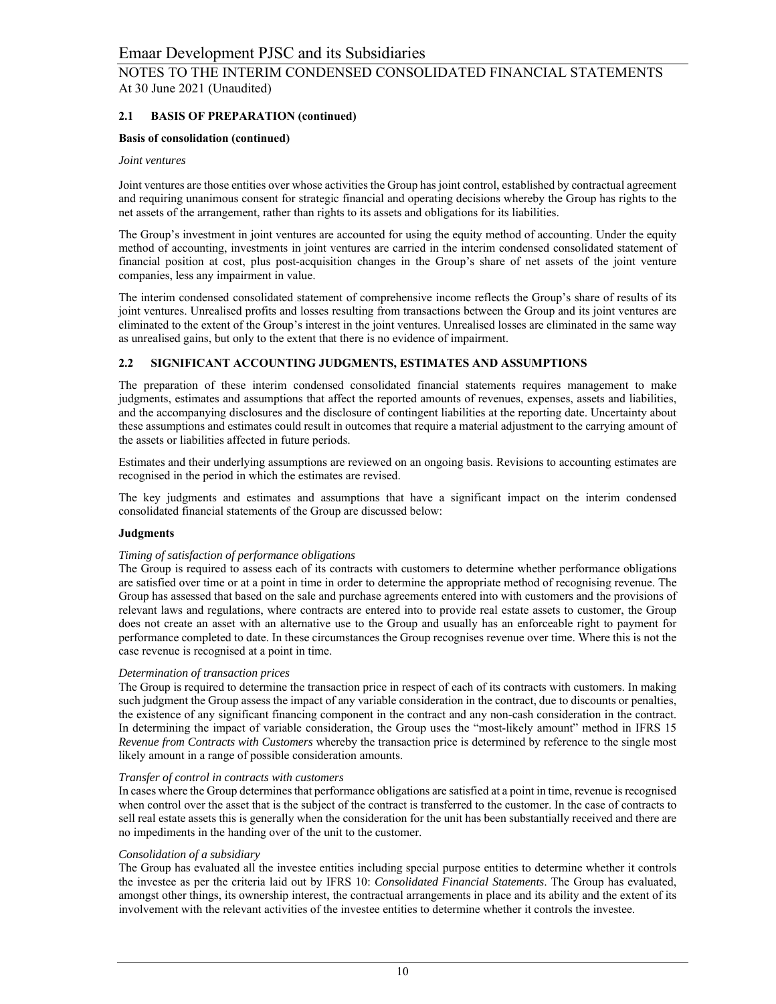### **2.1 BASIS OF PREPARATION (continued)**

### **Basis of consolidation (continued)**

### *Joint ventures*

Joint ventures are those entities over whose activities the Group has joint control, established by contractual agreement and requiring unanimous consent for strategic financial and operating decisions whereby the Group has rights to the net assets of the arrangement, rather than rights to its assets and obligations for its liabilities.

The Group's investment in joint ventures are accounted for using the equity method of accounting. Under the equity method of accounting, investments in joint ventures are carried in the interim condensed consolidated statement of financial position at cost, plus post-acquisition changes in the Group's share of net assets of the joint venture companies, less any impairment in value.

The interim condensed consolidated statement of comprehensive income reflects the Group's share of results of its joint ventures. Unrealised profits and losses resulting from transactions between the Group and its joint ventures are eliminated to the extent of the Group's interest in the joint ventures. Unrealised losses are eliminated in the same way as unrealised gains, but only to the extent that there is no evidence of impairment.

### **2.2 SIGNIFICANT ACCOUNTING JUDGMENTS, ESTIMATES AND ASSUMPTIONS**

The preparation of these interim condensed consolidated financial statements requires management to make judgments, estimates and assumptions that affect the reported amounts of revenues, expenses, assets and liabilities, and the accompanying disclosures and the disclosure of contingent liabilities at the reporting date. Uncertainty about these assumptions and estimates could result in outcomes that require a material adjustment to the carrying amount of the assets or liabilities affected in future periods.

Estimates and their underlying assumptions are reviewed on an ongoing basis. Revisions to accounting estimates are recognised in the period in which the estimates are revised.

The key judgments and estimates and assumptions that have a significant impact on the interim condensed consolidated financial statements of the Group are discussed below:

### **Judgments**

### *Timing of satisfaction of performance obligations*

The Group is required to assess each of its contracts with customers to determine whether performance obligations are satisfied over time or at a point in time in order to determine the appropriate method of recognising revenue. The Group has assessed that based on the sale and purchase agreements entered into with customers and the provisions of relevant laws and regulations, where contracts are entered into to provide real estate assets to customer, the Group does not create an asset with an alternative use to the Group and usually has an enforceable right to payment for performance completed to date. In these circumstances the Group recognises revenue over time. Where this is not the case revenue is recognised at a point in time.

### *Determination of transaction prices*

The Group is required to determine the transaction price in respect of each of its contracts with customers. In making such judgment the Group assess the impact of any variable consideration in the contract, due to discounts or penalties, the existence of any significant financing component in the contract and any non-cash consideration in the contract. In determining the impact of variable consideration, the Group uses the "most-likely amount" method in IFRS 15 *Revenue from Contracts with Customers* whereby the transaction price is determined by reference to the single most likely amount in a range of possible consideration amounts.

### *Transfer of control in contracts with customers*

In cases where the Group determines that performance obligations are satisfied at a point in time, revenue is recognised when control over the asset that is the subject of the contract is transferred to the customer. In the case of contracts to sell real estate assets this is generally when the consideration for the unit has been substantially received and there are no impediments in the handing over of the unit to the customer.

### *Consolidation of a subsidiary*

The Group has evaluated all the investee entities including special purpose entities to determine whether it controls the investee as per the criteria laid out by IFRS 10: *Consolidated Financial Statements*. The Group has evaluated, amongst other things, its ownership interest, the contractual arrangements in place and its ability and the extent of its involvement with the relevant activities of the investee entities to determine whether it controls the investee.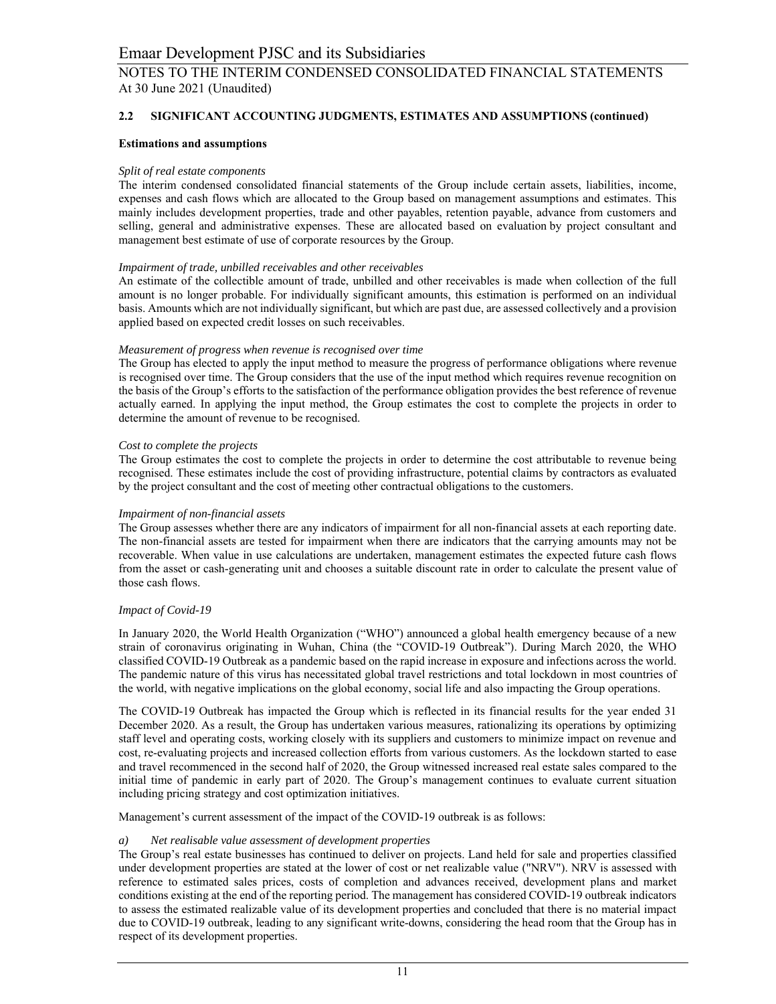### **2.2 SIGNIFICANT ACCOUNTING JUDGMENTS, ESTIMATES AND ASSUMPTIONS (continued)**

### **Estimations and assumptions**

#### *Split of real estate components*

The interim condensed consolidated financial statements of the Group include certain assets, liabilities, income, expenses and cash flows which are allocated to the Group based on management assumptions and estimates. This mainly includes development properties, trade and other payables, retention payable, advance from customers and selling, general and administrative expenses. These are allocated based on evaluation by project consultant and management best estimate of use of corporate resources by the Group.

#### *Impairment of trade, unbilled receivables and other receivables*

An estimate of the collectible amount of trade, unbilled and other receivables is made when collection of the full amount is no longer probable. For individually significant amounts, this estimation is performed on an individual basis. Amounts which are not individually significant, but which are past due, are assessed collectively and a provision applied based on expected credit losses on such receivables.

#### *Measurement of progress when revenue is recognised over time*

The Group has elected to apply the input method to measure the progress of performance obligations where revenue is recognised over time. The Group considers that the use of the input method which requires revenue recognition on the basis of the Group's efforts to the satisfaction of the performance obligation provides the best reference of revenue actually earned. In applying the input method, the Group estimates the cost to complete the projects in order to determine the amount of revenue to be recognised.

#### *Cost to complete the projects*

The Group estimates the cost to complete the projects in order to determine the cost attributable to revenue being recognised. These estimates include the cost of providing infrastructure, potential claims by contractors as evaluated by the project consultant and the cost of meeting other contractual obligations to the customers.

#### *Impairment of non-financial assets*

The Group assesses whether there are any indicators of impairment for all non-financial assets at each reporting date. The non-financial assets are tested for impairment when there are indicators that the carrying amounts may not be recoverable. When value in use calculations are undertaken, management estimates the expected future cash flows from the asset or cash-generating unit and chooses a suitable discount rate in order to calculate the present value of those cash flows.

#### *Impact of Covid-19*

In January 2020, the World Health Organization ("WHO") announced a global health emergency because of a new strain of coronavirus originating in Wuhan, China (the "COVID-19 Outbreak"). During March 2020, the WHO classified COVID-19 Outbreak as a pandemic based on the rapid increase in exposure and infections across the world. The pandemic nature of this virus has necessitated global travel restrictions and total lockdown in most countries of the world, with negative implications on the global economy, social life and also impacting the Group operations.

The COVID-19 Outbreak has impacted the Group which is reflected in its financial results for the year ended 31 December 2020. As a result, the Group has undertaken various measures, rationalizing its operations by optimizing staff level and operating costs, working closely with its suppliers and customers to minimize impact on revenue and cost, re-evaluating projects and increased collection efforts from various customers. As the lockdown started to ease and travel recommenced in the second half of 2020, the Group witnessed increased real estate sales compared to the initial time of pandemic in early part of 2020. The Group's management continues to evaluate current situation including pricing strategy and cost optimization initiatives.

Management's current assessment of the impact of the COVID-19 outbreak is as follows:

### *a) Net realisable value assessment of development properties*

The Group's real estate businesses has continued to deliver on projects. Land held for sale and properties classified under development properties are stated at the lower of cost or net realizable value ("NRV"). NRV is assessed with reference to estimated sales prices, costs of completion and advances received, development plans and market conditions existing at the end of the reporting period. The management has considered COVID-19 outbreak indicators to assess the estimated realizable value of its development properties and concluded that there is no material impact due to COVID-19 outbreak, leading to any significant write-downs, considering the head room that the Group has in respect of its development properties.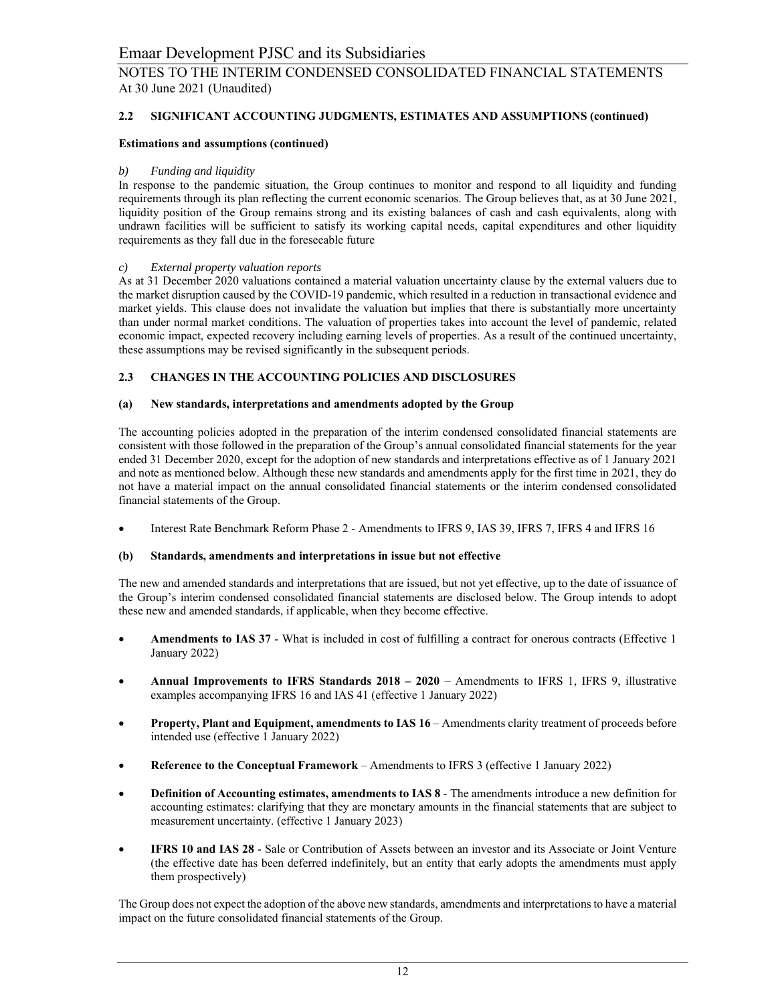### **2.2 SIGNIFICANT ACCOUNTING JUDGMENTS, ESTIMATES AND ASSUMPTIONS (continued)**

### **Estimations and assumptions (continued)**

### *b) Funding and liquidity*

In response to the pandemic situation, the Group continues to monitor and respond to all liquidity and funding requirements through its plan reflecting the current economic scenarios. The Group believes that, as at 30 June 2021, liquidity position of the Group remains strong and its existing balances of cash and cash equivalents, along with undrawn facilities will be sufficient to satisfy its working capital needs, capital expenditures and other liquidity requirements as they fall due in the foreseeable future

### *c) External property valuation reports*

As at 31 December 2020 valuations contained a material valuation uncertainty clause by the external valuers due to the market disruption caused by the COVID-19 pandemic, which resulted in a reduction in transactional evidence and market yields. This clause does not invalidate the valuation but implies that there is substantially more uncertainty than under normal market conditions. The valuation of properties takes into account the level of pandemic, related economic impact, expected recovery including earning levels of properties. As a result of the continued uncertainty, these assumptions may be revised significantly in the subsequent periods.

### **2.3 CHANGES IN THE ACCOUNTING POLICIES AND DISCLOSURES**

### **(a) New standards, interpretations and amendments adopted by the Group**

The accounting policies adopted in the preparation of the interim condensed consolidated financial statements are consistent with those followed in the preparation of the Group's annual consolidated financial statements for the year ended 31 December 2020, except for the adoption of new standards and interpretations effective as of 1 January 2021 and note as mentioned below. Although these new standards and amendments apply for the first time in 2021, they do not have a material impact on the annual consolidated financial statements or the interim condensed consolidated financial statements of the Group.

• Interest Rate Benchmark Reform Phase 2 - Amendments to IFRS 9, IAS 39, IFRS 7, IFRS 4 and IFRS 16

### **(b) Standards, amendments and interpretations in issue but not effective**

The new and amended standards and interpretations that are issued, but not yet effective, up to the date of issuance of the Group's interim condensed consolidated financial statements are disclosed below. The Group intends to adopt these new and amended standards, if applicable, when they become effective.

- **Amendments to IAS 37**  What is included in cost of fulfilling a contract for onerous contracts (Effective 1 January 2022)
- **Annual Improvements to IFRS Standards 2018 2020** Amendments to IFRS 1, IFRS 9, illustrative examples accompanying IFRS 16 and IAS 41 (effective 1 January 2022)
- **Property, Plant and Equipment, amendments to IAS 16** Amendments clarity treatment of proceeds before intended use (effective 1 January 2022)
- **•** Reference to the Conceptual Framework Amendments to IFRS 3 (effective 1 January 2022)
- **Definition of Accounting estimates, amendments to IAS 8** The amendments introduce a new definition for accounting estimates: clarifying that they are monetary amounts in the financial statements that are subject to measurement uncertainty. (effective 1 January 2023)
- **IFRS 10 and IAS 28** Sale or Contribution of Assets between an investor and its Associate or Joint Venture (the effective date has been deferred indefinitely, but an entity that early adopts the amendments must apply them prospectively)

The Group does not expect the adoption of the above new standards, amendments and interpretations to have a material impact on the future consolidated financial statements of the Group.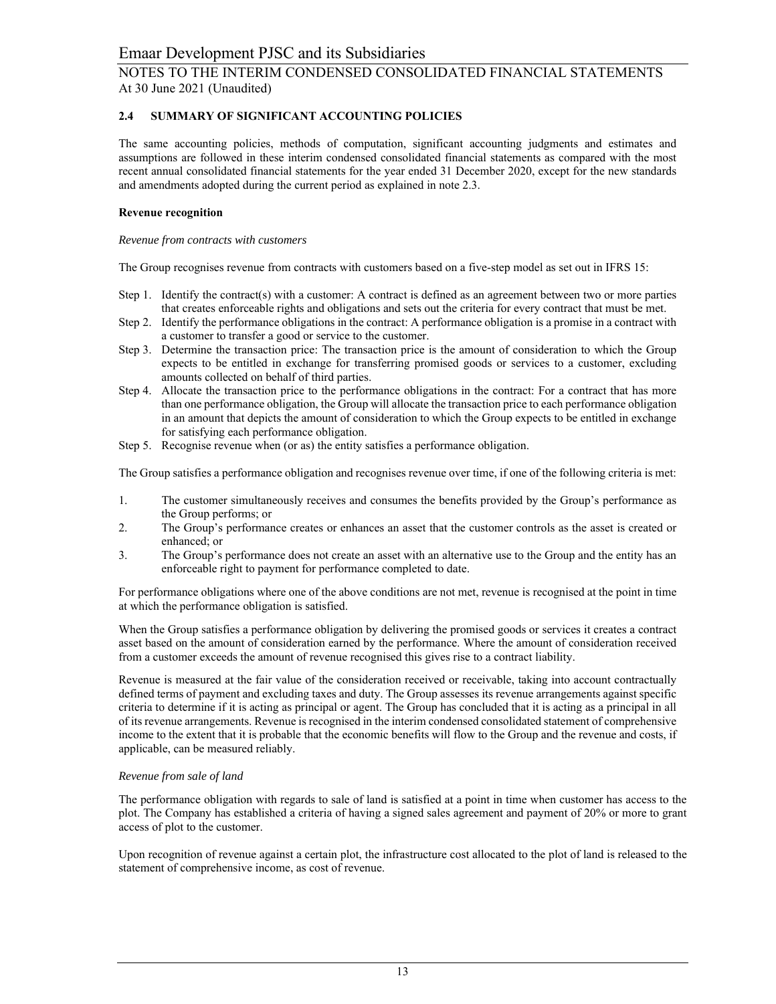### **2.4 SUMMARY OF SIGNIFICANT ACCOUNTING POLICIES**

The same accounting policies, methods of computation, significant accounting judgments and estimates and assumptions are followed in these interim condensed consolidated financial statements as compared with the most recent annual consolidated financial statements for the year ended 31 December 2020, except for the new standards and amendments adopted during the current period as explained in note 2.3.

#### **Revenue recognition**

#### *Revenue from contracts with customers*

The Group recognises revenue from contracts with customers based on a five-step model as set out in IFRS 15:

- Step 1. Identify the contract(s) with a customer: A contract is defined as an agreement between two or more parties that creates enforceable rights and obligations and sets out the criteria for every contract that must be met.
- Step 2. Identify the performance obligations in the contract: A performance obligation is a promise in a contract with a customer to transfer a good or service to the customer.
- Step 3. Determine the transaction price: The transaction price is the amount of consideration to which the Group expects to be entitled in exchange for transferring promised goods or services to a customer, excluding amounts collected on behalf of third parties.
- Step 4. Allocate the transaction price to the performance obligations in the contract: For a contract that has more than one performance obligation, the Group will allocate the transaction price to each performance obligation in an amount that depicts the amount of consideration to which the Group expects to be entitled in exchange for satisfying each performance obligation.
- Step 5. Recognise revenue when (or as) the entity satisfies a performance obligation.

The Group satisfies a performance obligation and recognises revenue over time, if one of the following criteria is met:

- 1. The customer simultaneously receives and consumes the benefits provided by the Group's performance as the Group performs; or
- 2. The Group's performance creates or enhances an asset that the customer controls as the asset is created or enhanced; or
- 3. The Group's performance does not create an asset with an alternative use to the Group and the entity has an enforceable right to payment for performance completed to date.

For performance obligations where one of the above conditions are not met, revenue is recognised at the point in time at which the performance obligation is satisfied.

When the Group satisfies a performance obligation by delivering the promised goods or services it creates a contract asset based on the amount of consideration earned by the performance. Where the amount of consideration received from a customer exceeds the amount of revenue recognised this gives rise to a contract liability.

Revenue is measured at the fair value of the consideration received or receivable, taking into account contractually defined terms of payment and excluding taxes and duty. The Group assesses its revenue arrangements against specific criteria to determine if it is acting as principal or agent. The Group has concluded that it is acting as a principal in all of its revenue arrangements. Revenue is recognised in the interim condensed consolidated statement of comprehensive income to the extent that it is probable that the economic benefits will flow to the Group and the revenue and costs, if applicable, can be measured reliably.

### *Revenue from sale of land*

The performance obligation with regards to sale of land is satisfied at a point in time when customer has access to the plot. The Company has established a criteria of having a signed sales agreement and payment of 20% or more to grant access of plot to the customer.

Upon recognition of revenue against a certain plot, the infrastructure cost allocated to the plot of land is released to the statement of comprehensive income, as cost of revenue.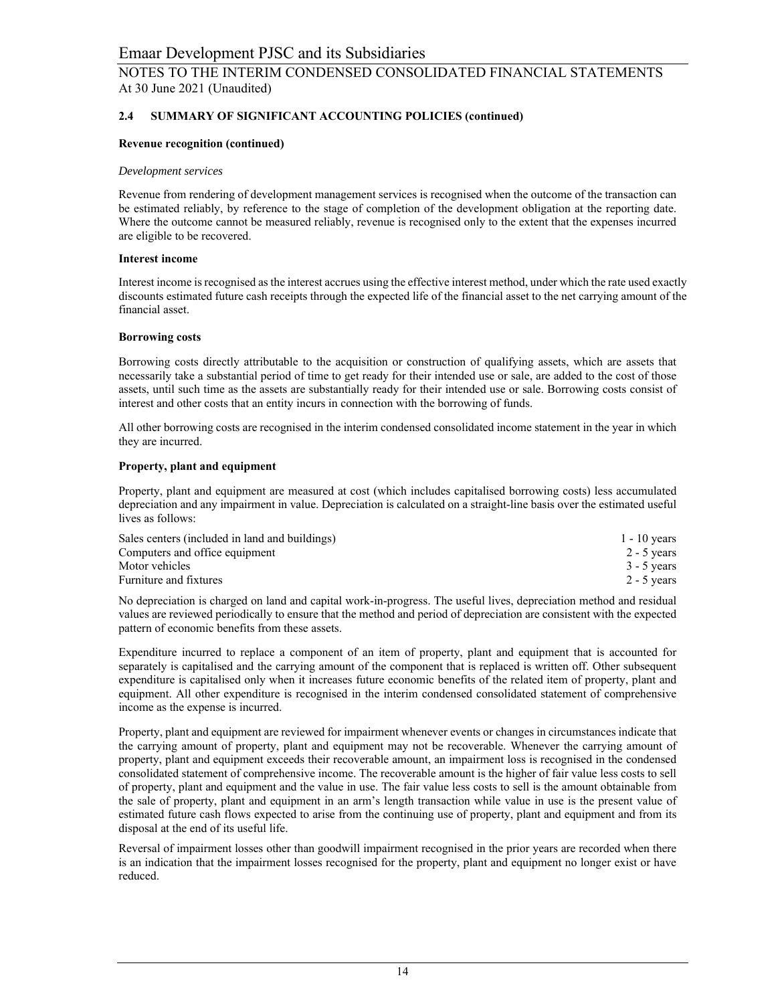### **2.4 SUMMARY OF SIGNIFICANT ACCOUNTING POLICIES (continued)**

#### **Revenue recognition (continued)**

#### *Development services*

Revenue from rendering of development management services is recognised when the outcome of the transaction can be estimated reliably, by reference to the stage of completion of the development obligation at the reporting date. Where the outcome cannot be measured reliably, revenue is recognised only to the extent that the expenses incurred are eligible to be recovered.

#### **Interest income**

Interest income is recognised as the interest accrues using the effective interest method, under which the rate used exactly discounts estimated future cash receipts through the expected life of the financial asset to the net carrying amount of the financial asset.

#### **Borrowing costs**

Borrowing costs directly attributable to the acquisition or construction of qualifying assets, which are assets that necessarily take a substantial period of time to get ready for their intended use or sale, are added to the cost of those assets, until such time as the assets are substantially ready for their intended use or sale. Borrowing costs consist of interest and other costs that an entity incurs in connection with the borrowing of funds.

All other borrowing costs are recognised in the interim condensed consolidated income statement in the year in which they are incurred.

#### **Property, plant and equipment**

Property, plant and equipment are measured at cost (which includes capitalised borrowing costs) less accumulated depreciation and any impairment in value. Depreciation is calculated on a straight-line basis over the estimated useful lives as follows:

| Sales centers (included in land and buildings) | $1 - 10$ vears |
|------------------------------------------------|----------------|
| Computers and office equipment                 | $2 - 5$ years  |
| Motor vehicles                                 | $3 - 5$ vears  |
| Furniture and fixtures                         | $2 - 5$ vears  |

No depreciation is charged on land and capital work-in-progress. The useful lives, depreciation method and residual values are reviewed periodically to ensure that the method and period of depreciation are consistent with the expected pattern of economic benefits from these assets.

Expenditure incurred to replace a component of an item of property, plant and equipment that is accounted for separately is capitalised and the carrying amount of the component that is replaced is written off. Other subsequent expenditure is capitalised only when it increases future economic benefits of the related item of property, plant and equipment. All other expenditure is recognised in the interim condensed consolidated statement of comprehensive income as the expense is incurred.

Property, plant and equipment are reviewed for impairment whenever events or changes in circumstances indicate that the carrying amount of property, plant and equipment may not be recoverable. Whenever the carrying amount of property, plant and equipment exceeds their recoverable amount, an impairment loss is recognised in the condensed consolidated statement of comprehensive income. The recoverable amount is the higher of fair value less costs to sell of property, plant and equipment and the value in use. The fair value less costs to sell is the amount obtainable from the sale of property, plant and equipment in an arm's length transaction while value in use is the present value of estimated future cash flows expected to arise from the continuing use of property, plant and equipment and from its disposal at the end of its useful life.

Reversal of impairment losses other than goodwill impairment recognised in the prior years are recorded when there is an indication that the impairment losses recognised for the property, plant and equipment no longer exist or have reduced.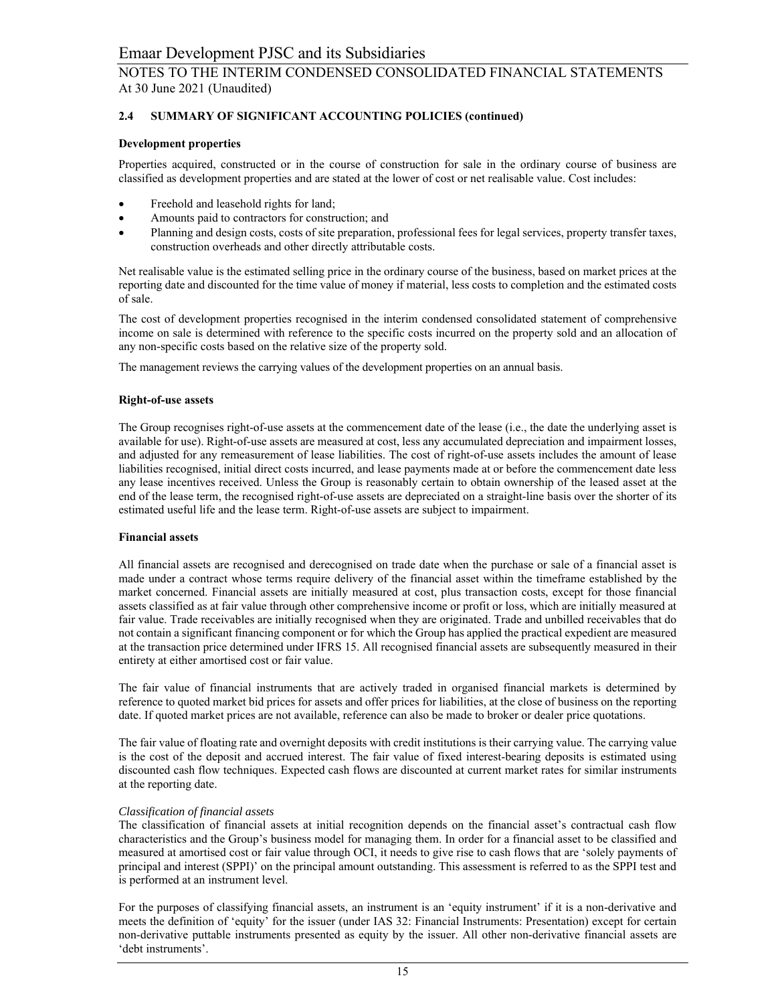### **2.4 SUMMARY OF SIGNIFICANT ACCOUNTING POLICIES (continued)**

### **Development properties**

Properties acquired, constructed or in the course of construction for sale in the ordinary course of business are classified as development properties and are stated at the lower of cost or net realisable value. Cost includes:

- Freehold and leasehold rights for land;
- Amounts paid to contractors for construction; and
- Planning and design costs, costs of site preparation, professional fees for legal services, property transfer taxes, construction overheads and other directly attributable costs.

Net realisable value is the estimated selling price in the ordinary course of the business, based on market prices at the reporting date and discounted for the time value of money if material, less costs to completion and the estimated costs of sale.

The cost of development properties recognised in the interim condensed consolidated statement of comprehensive income on sale is determined with reference to the specific costs incurred on the property sold and an allocation of any non-specific costs based on the relative size of the property sold.

The management reviews the carrying values of the development properties on an annual basis.

### **Right-of-use assets**

The Group recognises right-of-use assets at the commencement date of the lease (i.e., the date the underlying asset is available for use). Right-of-use assets are measured at cost, less any accumulated depreciation and impairment losses, and adjusted for any remeasurement of lease liabilities. The cost of right-of-use assets includes the amount of lease liabilities recognised, initial direct costs incurred, and lease payments made at or before the commencement date less any lease incentives received. Unless the Group is reasonably certain to obtain ownership of the leased asset at the end of the lease term, the recognised right-of-use assets are depreciated on a straight-line basis over the shorter of its estimated useful life and the lease term. Right-of-use assets are subject to impairment.

### **Financial assets**

All financial assets are recognised and derecognised on trade date when the purchase or sale of a financial asset is made under a contract whose terms require delivery of the financial asset within the timeframe established by the market concerned. Financial assets are initially measured at cost, plus transaction costs, except for those financial assets classified as at fair value through other comprehensive income or profit or loss, which are initially measured at fair value. Trade receivables are initially recognised when they are originated. Trade and unbilled receivables that do not contain a significant financing component or for which the Group has applied the practical expedient are measured at the transaction price determined under IFRS 15. All recognised financial assets are subsequently measured in their entirety at either amortised cost or fair value.

The fair value of financial instruments that are actively traded in organised financial markets is determined by reference to quoted market bid prices for assets and offer prices for liabilities, at the close of business on the reporting date. If quoted market prices are not available, reference can also be made to broker or dealer price quotations.

The fair value of floating rate and overnight deposits with credit institutions is their carrying value. The carrying value is the cost of the deposit and accrued interest. The fair value of fixed interest-bearing deposits is estimated using discounted cash flow techniques. Expected cash flows are discounted at current market rates for similar instruments at the reporting date.

### *Classification of financial assets*

The classification of financial assets at initial recognition depends on the financial asset's contractual cash flow characteristics and the Group's business model for managing them. In order for a financial asset to be classified and measured at amortised cost or fair value through OCI, it needs to give rise to cash flows that are 'solely payments of principal and interest (SPPI)' on the principal amount outstanding. This assessment is referred to as the SPPI test and is performed at an instrument level.

For the purposes of classifying financial assets, an instrument is an 'equity instrument' if it is a non-derivative and meets the definition of 'equity' for the issuer (under IAS 32: Financial Instruments: Presentation) except for certain non-derivative puttable instruments presented as equity by the issuer. All other non-derivative financial assets are 'debt instruments'.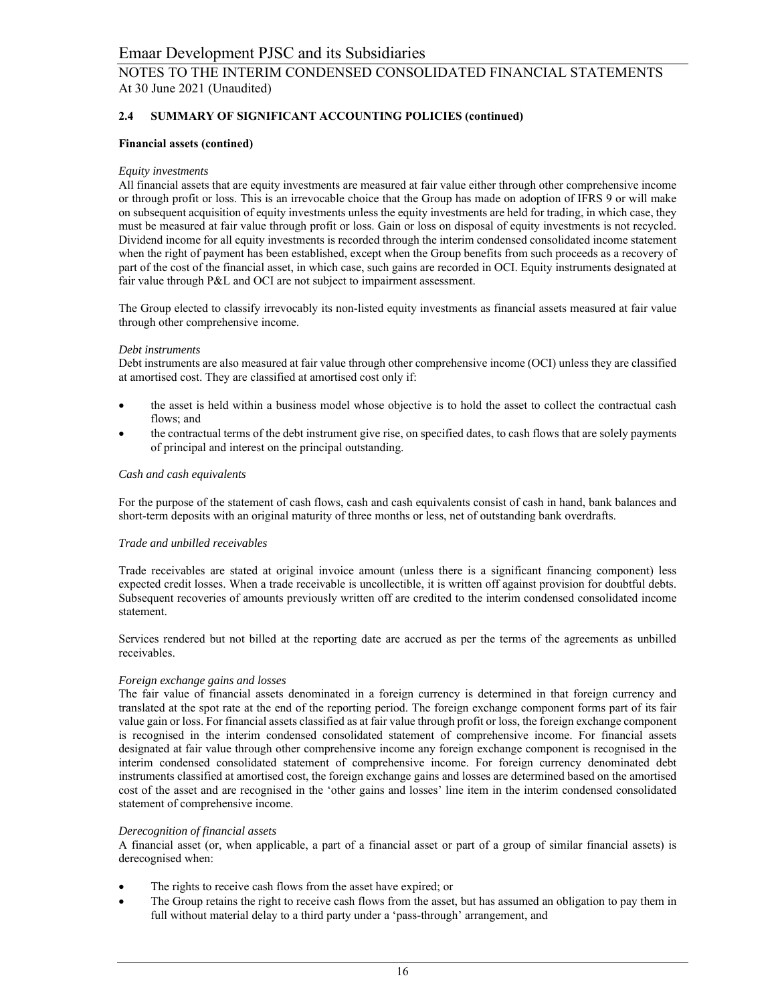### **2.4 SUMMARY OF SIGNIFICANT ACCOUNTING POLICIES (continued)**

### **Financial assets (contined)**

#### *Equity investments*

All financial assets that are equity investments are measured at fair value either through other comprehensive income or through profit or loss. This is an irrevocable choice that the Group has made on adoption of IFRS 9 or will make on subsequent acquisition of equity investments unless the equity investments are held for trading, in which case, they must be measured at fair value through profit or loss. Gain or loss on disposal of equity investments is not recycled. Dividend income for all equity investments is recorded through the interim condensed consolidated income statement when the right of payment has been established, except when the Group benefits from such proceeds as a recovery of part of the cost of the financial asset, in which case, such gains are recorded in OCI. Equity instruments designated at fair value through P&L and OCI are not subject to impairment assessment.

The Group elected to classify irrevocably its non-listed equity investments as financial assets measured at fair value through other comprehensive income.

#### *Debt instruments*

Debt instruments are also measured at fair value through other comprehensive income (OCI) unless they are classified at amortised cost. They are classified at amortised cost only if:

- the asset is held within a business model whose objective is to hold the asset to collect the contractual cash flows; and
- the contractual terms of the debt instrument give rise, on specified dates, to cash flows that are solely payments of principal and interest on the principal outstanding.

#### *Cash and cash equivalents*

For the purpose of the statement of cash flows, cash and cash equivalents consist of cash in hand, bank balances and short-term deposits with an original maturity of three months or less, net of outstanding bank overdrafts.

#### *Trade and unbilled receivables*

Trade receivables are stated at original invoice amount (unless there is a significant financing component) less expected credit losses. When a trade receivable is uncollectible, it is written off against provision for doubtful debts. Subsequent recoveries of amounts previously written off are credited to the interim condensed consolidated income statement.

Services rendered but not billed at the reporting date are accrued as per the terms of the agreements as unbilled receivables.

#### *Foreign exchange gains and losses*

The fair value of financial assets denominated in a foreign currency is determined in that foreign currency and translated at the spot rate at the end of the reporting period. The foreign exchange component forms part of its fair value gain or loss. For financial assets classified as at fair value through profit or loss, the foreign exchange component is recognised in the interim condensed consolidated statement of comprehensive income. For financial assets designated at fair value through other comprehensive income any foreign exchange component is recognised in the interim condensed consolidated statement of comprehensive income. For foreign currency denominated debt instruments classified at amortised cost, the foreign exchange gains and losses are determined based on the amortised cost of the asset and are recognised in the 'other gains and losses' line item in the interim condensed consolidated statement of comprehensive income.

#### *Derecognition of financial assets*

A financial asset (or, when applicable, a part of a financial asset or part of a group of similar financial assets) is derecognised when:

- The rights to receive cash flows from the asset have expired; or
- The Group retains the right to receive cash flows from the asset, but has assumed an obligation to pay them in full without material delay to a third party under a 'pass-through' arrangement, and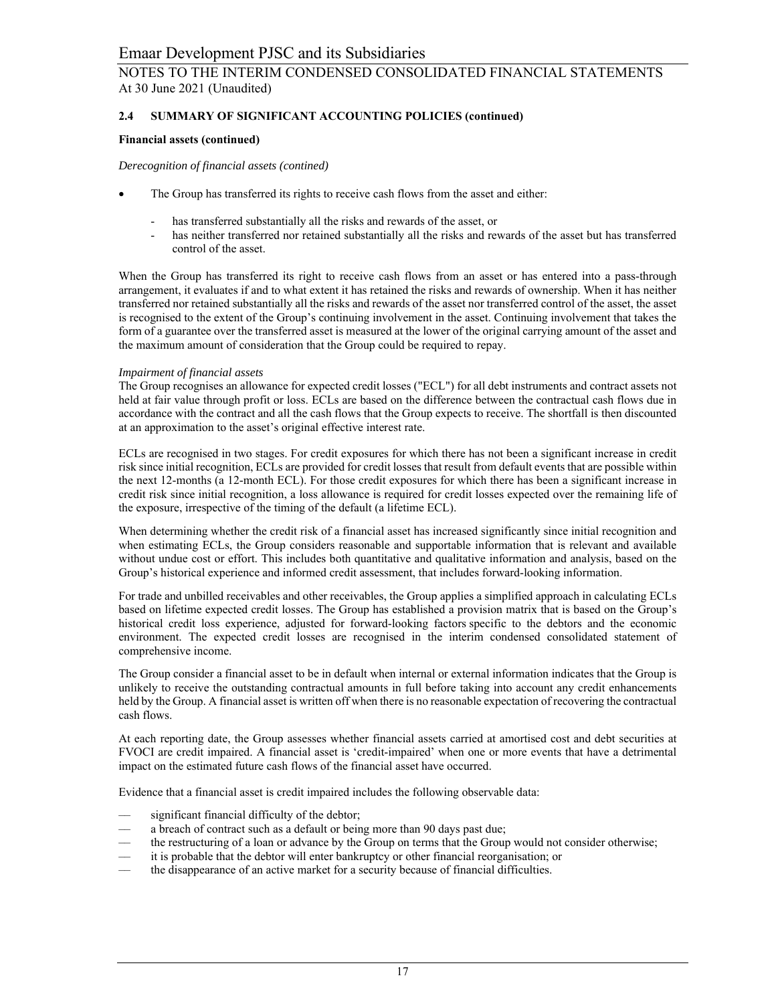### **2.4 SUMMARY OF SIGNIFICANT ACCOUNTING POLICIES (continued)**

### **Financial assets (continued)**

#### *Derecognition of financial assets (contined)*

- The Group has transferred its rights to receive cash flows from the asset and either:
	- has transferred substantially all the risks and rewards of the asset, or
	- has neither transferred nor retained substantially all the risks and rewards of the asset but has transferred control of the asset.

When the Group has transferred its right to receive cash flows from an asset or has entered into a pass-through arrangement, it evaluates if and to what extent it has retained the risks and rewards of ownership. When it has neither transferred nor retained substantially all the risks and rewards of the asset nor transferred control of the asset, the asset is recognised to the extent of the Group's continuing involvement in the asset. Continuing involvement that takes the form of a guarantee over the transferred asset is measured at the lower of the original carrying amount of the asset and the maximum amount of consideration that the Group could be required to repay.

### *Impairment of financial assets*

The Group recognises an allowance for expected credit losses ("ECL") for all debt instruments and contract assets not held at fair value through profit or loss. ECLs are based on the difference between the contractual cash flows due in accordance with the contract and all the cash flows that the Group expects to receive. The shortfall is then discounted at an approximation to the asset's original effective interest rate.

ECLs are recognised in two stages. For credit exposures for which there has not been a significant increase in credit risk since initial recognition, ECLs are provided for credit losses that result from default events that are possible within the next 12-months (a 12-month ECL). For those credit exposures for which there has been a significant increase in credit risk since initial recognition, a loss allowance is required for credit losses expected over the remaining life of the exposure, irrespective of the timing of the default (a lifetime ECL).

When determining whether the credit risk of a financial asset has increased significantly since initial recognition and when estimating ECLs, the Group considers reasonable and supportable information that is relevant and available without undue cost or effort. This includes both quantitative and qualitative information and analysis, based on the Group's historical experience and informed credit assessment, that includes forward-looking information.

For trade and unbilled receivables and other receivables, the Group applies a simplified approach in calculating ECLs based on lifetime expected credit losses. The Group has established a provision matrix that is based on the Group's historical credit loss experience, adjusted for forward-looking factors specific to the debtors and the economic environment. The expected credit losses are recognised in the interim condensed consolidated statement of comprehensive income.

The Group consider a financial asset to be in default when internal or external information indicates that the Group is unlikely to receive the outstanding contractual amounts in full before taking into account any credit enhancements held by the Group. A financial asset is written off when there is no reasonable expectation of recovering the contractual cash flows.

At each reporting date, the Group assesses whether financial assets carried at amortised cost and debt securities at FVOCI are credit impaired. A financial asset is 'credit-impaired' when one or more events that have a detrimental impact on the estimated future cash flows of the financial asset have occurred.

Evidence that a financial asset is credit impaired includes the following observable data:

- significant financial difficulty of the debtor;
- a breach of contract such as a default or being more than 90 days past due;
- –– the restructuring of a loan or advance by the Group on terms that the Group would not consider otherwise;
- it is probable that the debtor will enter bankruptcy or other financial reorganisation; or
- the disappearance of an active market for a security because of financial difficulties.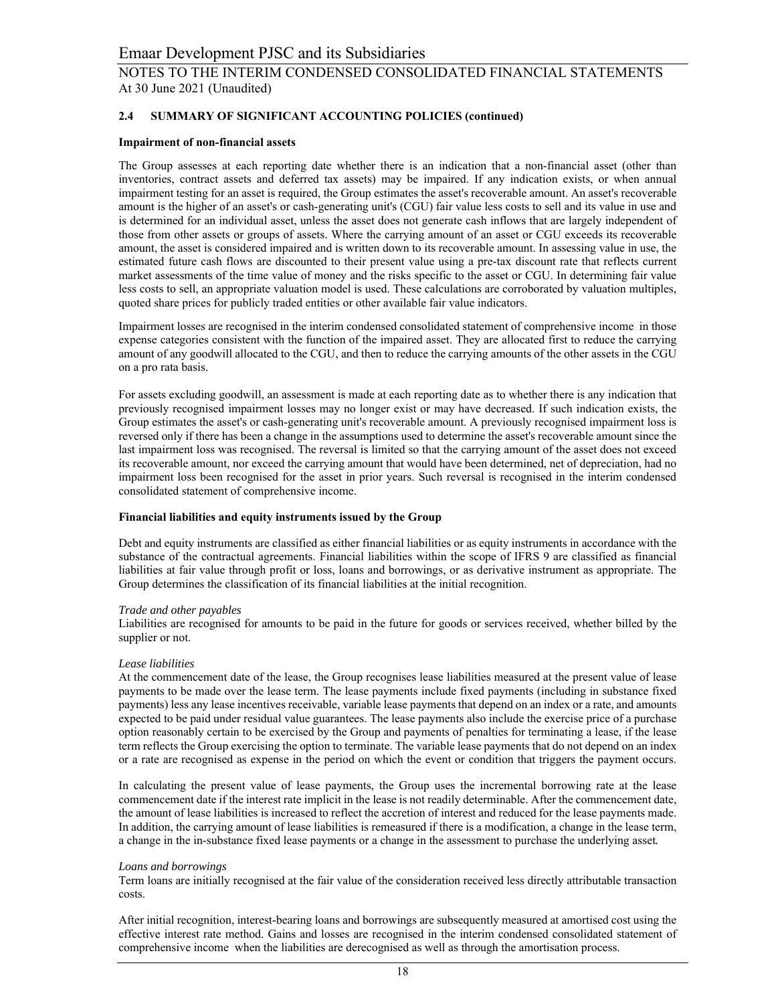### **2.4 SUMMARY OF SIGNIFICANT ACCOUNTING POLICIES (continued)**

#### **Impairment of non-financial assets**

The Group assesses at each reporting date whether there is an indication that a non-financial asset (other than inventories, contract assets and deferred tax assets) may be impaired. If any indication exists, or when annual impairment testing for an asset is required, the Group estimates the asset's recoverable amount. An asset's recoverable amount is the higher of an asset's or cash-generating unit's (CGU) fair value less costs to sell and its value in use and is determined for an individual asset, unless the asset does not generate cash inflows that are largely independent of those from other assets or groups of assets. Where the carrying amount of an asset or CGU exceeds its recoverable amount, the asset is considered impaired and is written down to its recoverable amount. In assessing value in use, the estimated future cash flows are discounted to their present value using a pre-tax discount rate that reflects current market assessments of the time value of money and the risks specific to the asset or CGU. In determining fair value less costs to sell, an appropriate valuation model is used. These calculations are corroborated by valuation multiples, quoted share prices for publicly traded entities or other available fair value indicators.

Impairment losses are recognised in the interim condensed consolidated statement of comprehensive income in those expense categories consistent with the function of the impaired asset. They are allocated first to reduce the carrying amount of any goodwill allocated to the CGU, and then to reduce the carrying amounts of the other assets in the CGU on a pro rata basis.

For assets excluding goodwill, an assessment is made at each reporting date as to whether there is any indication that previously recognised impairment losses may no longer exist or may have decreased. If such indication exists, the Group estimates the asset's or cash-generating unit's recoverable amount. A previously recognised impairment loss is reversed only if there has been a change in the assumptions used to determine the asset's recoverable amount since the last impairment loss was recognised. The reversal is limited so that the carrying amount of the asset does not exceed its recoverable amount, nor exceed the carrying amount that would have been determined, net of depreciation, had no impairment loss been recognised for the asset in prior years. Such reversal is recognised in the interim condensed consolidated statement of comprehensive income.

#### **Financial liabilities and equity instruments issued by the Group**

Debt and equity instruments are classified as either financial liabilities or as equity instruments in accordance with the substance of the contractual agreements. Financial liabilities within the scope of IFRS 9 are classified as financial liabilities at fair value through profit or loss, loans and borrowings, or as derivative instrument as appropriate. The Group determines the classification of its financial liabilities at the initial recognition.

#### *Trade and other payables*

Liabilities are recognised for amounts to be paid in the future for goods or services received, whether billed by the supplier or not.

#### *Lease liabilities*

At the commencement date of the lease, the Group recognises lease liabilities measured at the present value of lease payments to be made over the lease term. The lease payments include fixed payments (including in substance fixed payments) less any lease incentives receivable, variable lease payments that depend on an index or a rate, and amounts expected to be paid under residual value guarantees. The lease payments also include the exercise price of a purchase option reasonably certain to be exercised by the Group and payments of penalties for terminating a lease, if the lease term reflects the Group exercising the option to terminate. The variable lease payments that do not depend on an index or a rate are recognised as expense in the period on which the event or condition that triggers the payment occurs.

In calculating the present value of lease payments, the Group uses the incremental borrowing rate at the lease commencement date if the interest rate implicit in the lease is not readily determinable. After the commencement date, the amount of lease liabilities is increased to reflect the accretion of interest and reduced for the lease payments made. In addition, the carrying amount of lease liabilities is remeasured if there is a modification, a change in the lease term, a change in the in-substance fixed lease payments or a change in the assessment to purchase the underlying asset*.* 

#### *Loans and borrowings*

Term loans are initially recognised at the fair value of the consideration received less directly attributable transaction costs.

After initial recognition, interest-bearing loans and borrowings are subsequently measured at amortised cost using the effective interest rate method. Gains and losses are recognised in the interim condensed consolidated statement of comprehensive income when the liabilities are derecognised as well as through the amortisation process.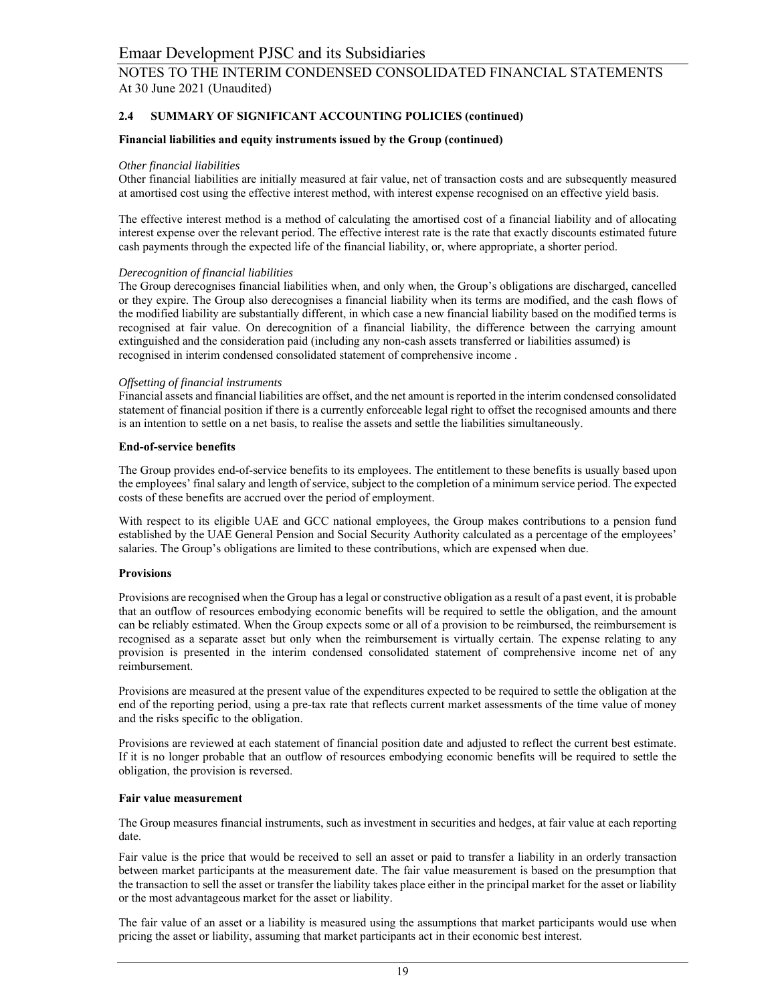### **2.4 SUMMARY OF SIGNIFICANT ACCOUNTING POLICIES (continued)**

#### **Financial liabilities and equity instruments issued by the Group (continued)**

#### *Other financial liabilities*

Other financial liabilities are initially measured at fair value, net of transaction costs and are subsequently measured at amortised cost using the effective interest method, with interest expense recognised on an effective yield basis.

The effective interest method is a method of calculating the amortised cost of a financial liability and of allocating interest expense over the relevant period. The effective interest rate is the rate that exactly discounts estimated future cash payments through the expected life of the financial liability, or, where appropriate, a shorter period.

#### *Derecognition of financial liabilities*

The Group derecognises financial liabilities when, and only when, the Group's obligations are discharged, cancelled or they expire. The Group also derecognises a financial liability when its terms are modified, and the cash flows of the modified liability are substantially different, in which case a new financial liability based on the modified terms is recognised at fair value. On derecognition of a financial liability, the difference between the carrying amount extinguished and the consideration paid (including any non-cash assets transferred or liabilities assumed) is recognised in interim condensed consolidated statement of comprehensive income .

#### *Offsetting of financial instruments*

Financial assets and financial liabilities are offset, and the net amount is reported in the interim condensed consolidated statement of financial position if there is a currently enforceable legal right to offset the recognised amounts and there is an intention to settle on a net basis, to realise the assets and settle the liabilities simultaneously.

#### **End-of-service benefits**

The Group provides end-of-service benefits to its employees. The entitlement to these benefits is usually based upon the employees' final salary and length of service, subject to the completion of a minimum service period. The expected costs of these benefits are accrued over the period of employment.

With respect to its eligible UAE and GCC national employees, the Group makes contributions to a pension fund established by the UAE General Pension and Social Security Authority calculated as a percentage of the employees' salaries. The Group's obligations are limited to these contributions, which are expensed when due.

### **Provisions**

Provisions are recognised when the Group has a legal or constructive obligation as a result of a past event, it is probable that an outflow of resources embodying economic benefits will be required to settle the obligation, and the amount can be reliably estimated. When the Group expects some or all of a provision to be reimbursed, the reimbursement is recognised as a separate asset but only when the reimbursement is virtually certain. The expense relating to any provision is presented in the interim condensed consolidated statement of comprehensive income net of any reimbursement.

Provisions are measured at the present value of the expenditures expected to be required to settle the obligation at the end of the reporting period, using a pre-tax rate that reflects current market assessments of the time value of money and the risks specific to the obligation.

Provisions are reviewed at each statement of financial position date and adjusted to reflect the current best estimate. If it is no longer probable that an outflow of resources embodying economic benefits will be required to settle the obligation, the provision is reversed.

#### **Fair value measurement**

The Group measures financial instruments, such as investment in securities and hedges, at fair value at each reporting date.

Fair value is the price that would be received to sell an asset or paid to transfer a liability in an orderly transaction between market participants at the measurement date. The fair value measurement is based on the presumption that the transaction to sell the asset or transfer the liability takes place either in the principal market for the asset or liability or the most advantageous market for the asset or liability.

The fair value of an asset or a liability is measured using the assumptions that market participants would use when pricing the asset or liability, assuming that market participants act in their economic best interest.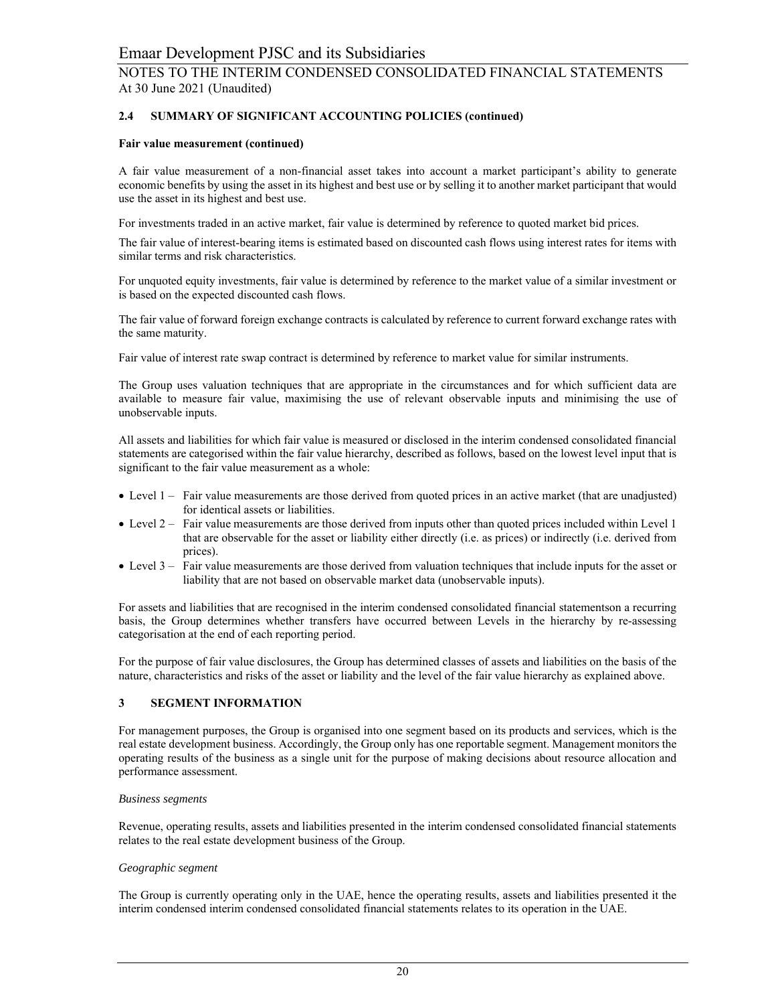### **2.4 SUMMARY OF SIGNIFICANT ACCOUNTING POLICIES (continued)**

#### **Fair value measurement (continued)**

A fair value measurement of a non-financial asset takes into account a market participant's ability to generate economic benefits by using the asset in its highest and best use or by selling it to another market participant that would use the asset in its highest and best use.

For investments traded in an active market, fair value is determined by reference to quoted market bid prices.

The fair value of interest-bearing items is estimated based on discounted cash flows using interest rates for items with similar terms and risk characteristics.

For unquoted equity investments, fair value is determined by reference to the market value of a similar investment or is based on the expected discounted cash flows.

The fair value of forward foreign exchange contracts is calculated by reference to current forward exchange rates with the same maturity.

Fair value of interest rate swap contract is determined by reference to market value for similar instruments.

The Group uses valuation techniques that are appropriate in the circumstances and for which sufficient data are available to measure fair value, maximising the use of relevant observable inputs and minimising the use of unobservable inputs.

All assets and liabilities for which fair value is measured or disclosed in the interim condensed consolidated financial statements are categorised within the fair value hierarchy, described as follows, based on the lowest level input that is significant to the fair value measurement as a whole:

- Level 1 Fair value measurements are those derived from quoted prices in an active market (that are unadjusted) for identical assets or liabilities.
- Level 2 Fair value measurements are those derived from inputs other than quoted prices included within Level 1 that are observable for the asset or liability either directly (i.e. as prices) or indirectly (i.e. derived from prices).
- Level 3 Fair value measurements are those derived from valuation techniques that include inputs for the asset or liability that are not based on observable market data (unobservable inputs).

For assets and liabilities that are recognised in the interim condensed consolidated financial statementson a recurring basis, the Group determines whether transfers have occurred between Levels in the hierarchy by re-assessing categorisation at the end of each reporting period.

For the purpose of fair value disclosures, the Group has determined classes of assets and liabilities on the basis of the nature, characteristics and risks of the asset or liability and the level of the fair value hierarchy as explained above.

### **3 SEGMENT INFORMATION**

For management purposes, the Group is organised into one segment based on its products and services, which is the real estate development business. Accordingly, the Group only has one reportable segment. Management monitors the operating results of the business as a single unit for the purpose of making decisions about resource allocation and performance assessment.

#### *Business segments*

Revenue, operating results, assets and liabilities presented in the interim condensed consolidated financial statements relates to the real estate development business of the Group.

#### *Geographic segment*

The Group is currently operating only in the UAE, hence the operating results, assets and liabilities presented it the interim condensed interim condensed consolidated financial statements relates to its operation in the UAE.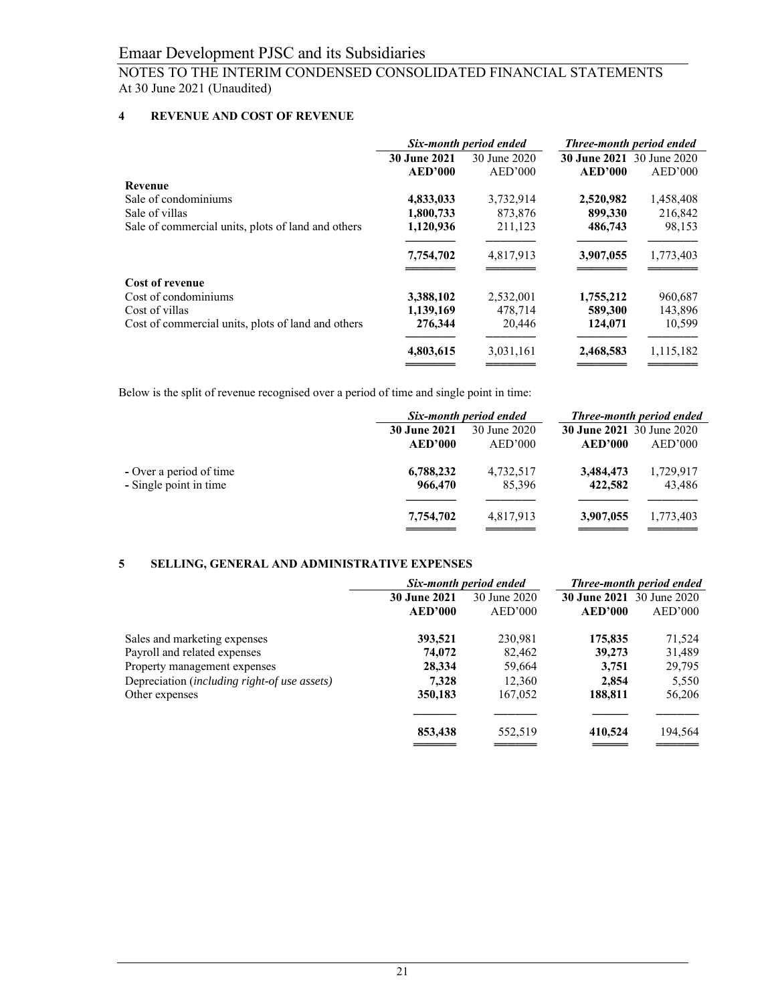## NOTES TO THE INTERIM CONDENSED CONSOLIDATED FINANCIAL STATEMENTS At 30 June 2021 (Unaudited)

### **4 REVENUE AND COST OF REVENUE**

|                                                    | Six-month period ended |              | Three-month period ended         |           |
|----------------------------------------------------|------------------------|--------------|----------------------------------|-----------|
|                                                    | <b>30 June 2021</b>    | 30 June 2020 | <b>30 June 2021</b> 30 June 2020 |           |
|                                                    | <b>AED'000</b>         | AED'000      | <b>AED'000</b>                   | AED'000   |
| Revenue                                            |                        |              |                                  |           |
| Sale of condominiums                               | 4,833,033              | 3,732,914    | 2,520,982                        | 1,458,408 |
| Sale of villas                                     | 1,800,733              | 873,876      | 899,330                          | 216,842   |
| Sale of commercial units, plots of land and others | 1,120,936              | 211,123      | 486,743                          | 98,153    |
|                                                    |                        |              |                                  |           |
|                                                    | 7,754,702              | 4,817,913    | 3,907,055                        | 1,773,403 |
|                                                    |                        |              |                                  |           |
| <b>Cost of revenue</b>                             |                        |              |                                  |           |
| Cost of condominiums                               | 3,388,102              | 2,532,001    | 1,755,212                        | 960,687   |
| Cost of villas                                     | 1,139,169              | 478,714      | 589,300                          | 143,896   |
| Cost of commercial units, plots of land and others | 276,344                | 20,446       | 124,071                          | 10,599    |
|                                                    |                        |              |                                  |           |
|                                                    | 4,803,615              | 3,031,161    | 2,468,583                        | 1,115,182 |
|                                                    |                        |              |                                  |           |

Below is the split of revenue recognised over a period of time and single point in time:

|                         |                     | Six-month period ended |                                  | <b>Three-month period ended</b> |
|-------------------------|---------------------|------------------------|----------------------------------|---------------------------------|
|                         | <b>30 June 2021</b> | 30 June 2020           | <b>30 June 2021</b> 30 June 2020 |                                 |
|                         | <b>AED'000</b>      | AED'000                | <b>AED'000</b>                   | AED'000                         |
| - Over a period of time | 6,788,232           | 4,732,517              | 3,484,473                        | 1,729,917                       |
| - Single point in time  | 966,470             | 85.396                 | 422,582                          | 43,486                          |
|                         | 7,754,702           | 4,817,913              | 3,907,055                        | 1,773,403                       |

### **5 SELLING, GENERAL AND ADMINISTRATIVE EXPENSES**

|                                              | Six-month period ended |              |                                  | <b>Three-month period ended</b> |
|----------------------------------------------|------------------------|--------------|----------------------------------|---------------------------------|
|                                              | <b>30 June 2021</b>    | 30 June 2020 | <b>30 June 2021</b> 30 June 2020 |                                 |
|                                              | <b>AED'000</b>         | AED'000      | <b>AED'000</b>                   | AED'000                         |
| Sales and marketing expenses                 | 393,521                | 230,981      | 175,835                          | 71,524                          |
| Payroll and related expenses                 | 74,072                 | 82,462       | 39,273                           | 31,489                          |
| Property management expenses                 | 28,334                 | 59,664       | 3,751                            | 29,795                          |
| Depreciation (including right-of use assets) | 7.328                  | 12.360       | 2.854                            | 5,550                           |
| Other expenses                               | 350,183                | 167,052      | 188,811                          | 56,206                          |
|                                              |                        |              |                                  |                                 |
|                                              | 853,438                | 552,519      | 410,524                          | 194,564                         |
|                                              |                        |              |                                  |                                 |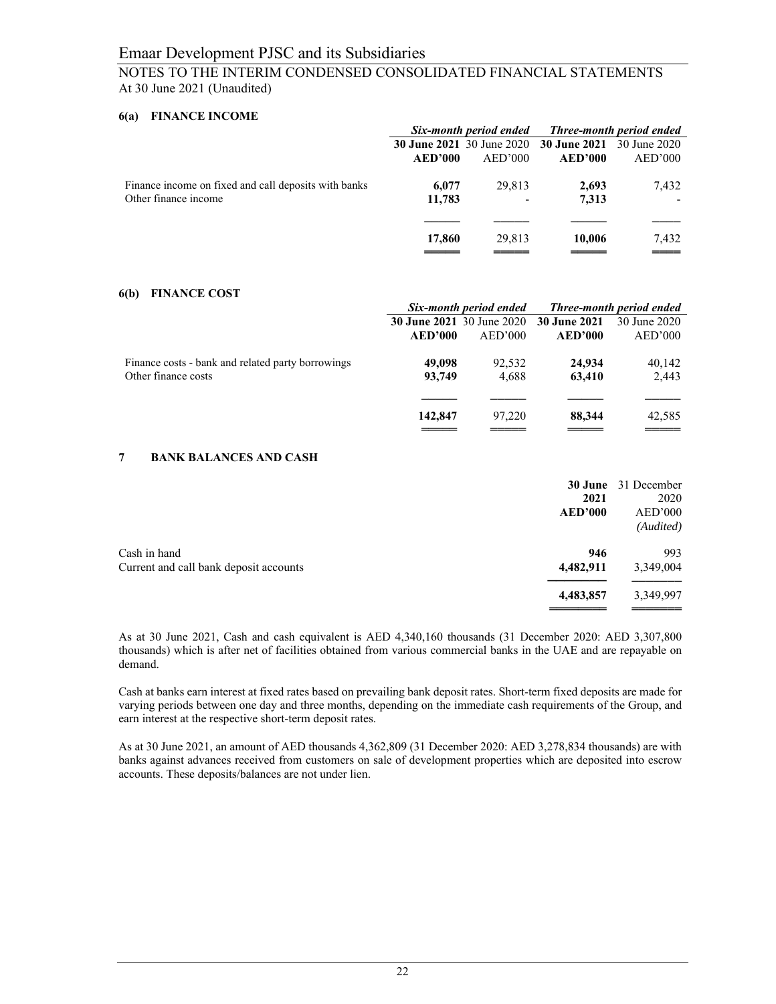# NOTES TO THE INTERIM CONDENSED CONSOLIDATED FINANCIAL STATEMENTS At 30 June 2021 (Unaudited)

### **6(a) FINANCE INCOME**

|                                                      | Six-month period ended |         |                                                                   | <b>Three-month period ended</b> |
|------------------------------------------------------|------------------------|---------|-------------------------------------------------------------------|---------------------------------|
|                                                      |                        |         | <b>30 June 2021</b> 30 June 2020 <b>30 June 2021</b> 30 June 2020 |                                 |
|                                                      | AED'000                | AED'000 | <b>AED'000</b>                                                    | AED'000                         |
| Finance income on fixed and call deposits with banks | 6.077                  | 29.813  | 2,693                                                             | 7,432                           |
| Other finance income                                 | 11,783                 |         | 7.313                                                             |                                 |
|                                                      |                        |         |                                                                   |                                 |
|                                                      | 17,860                 | 29.813  | 10,006                                                            | 7,432                           |
|                                                      |                        |         |                                                                   | ---                             |

#### **6(b) FINANCE COST**

|                                                   | Six-month period ended |                                  |                | <b>Three-month period ended</b> |
|---------------------------------------------------|------------------------|----------------------------------|----------------|---------------------------------|
|                                                   |                        | <b>30 June 2021</b> 30 June 2020 | 30 June 2021   | 30 June 2020                    |
|                                                   | AED'000                | AED'000                          | <b>AED'000</b> | AED'000                         |
| Finance costs - bank and related party borrowings | 49,098                 | 92.532                           | 24,934         | 40,142                          |
| Other finance costs                               | 93,749                 | 4,688                            | 63,410         | 2,443                           |
|                                                   |                        |                                  |                |                                 |
|                                                   | 142,847                | 97.220                           | 88,344         | 42,585                          |
|                                                   |                        |                                  |                |                                 |

### **7 BANK BALANCES AND CASH**

|                                        | 2021           | <b>30 June</b> 31 December<br>2020 |
|----------------------------------------|----------------|------------------------------------|
|                                        | <b>AED'000</b> | AED'000                            |
|                                        |                | (Audited)                          |
| Cash in hand                           | 946            | 993                                |
| Current and call bank deposit accounts | 4,482,911      | 3,349,004                          |
|                                        | 4,483,857      | 3,349,997                          |
|                                        |                |                                    |

As at 30 June 2021, Cash and cash equivalent is AED 4,340,160 thousands (31 December 2020: AED 3,307,800 thousands) which is after net of facilities obtained from various commercial banks in the UAE and are repayable on demand.

Cash at banks earn interest at fixed rates based on prevailing bank deposit rates. Short-term fixed deposits are made for varying periods between one day and three months, depending on the immediate cash requirements of the Group, and earn interest at the respective short-term deposit rates.

As at 30 June 2021, an amount of AED thousands 4,362,809 (31 December 2020: AED 3,278,834 thousands) are with banks against advances received from customers on sale of development properties which are deposited into escrow accounts. These deposits/balances are not under lien.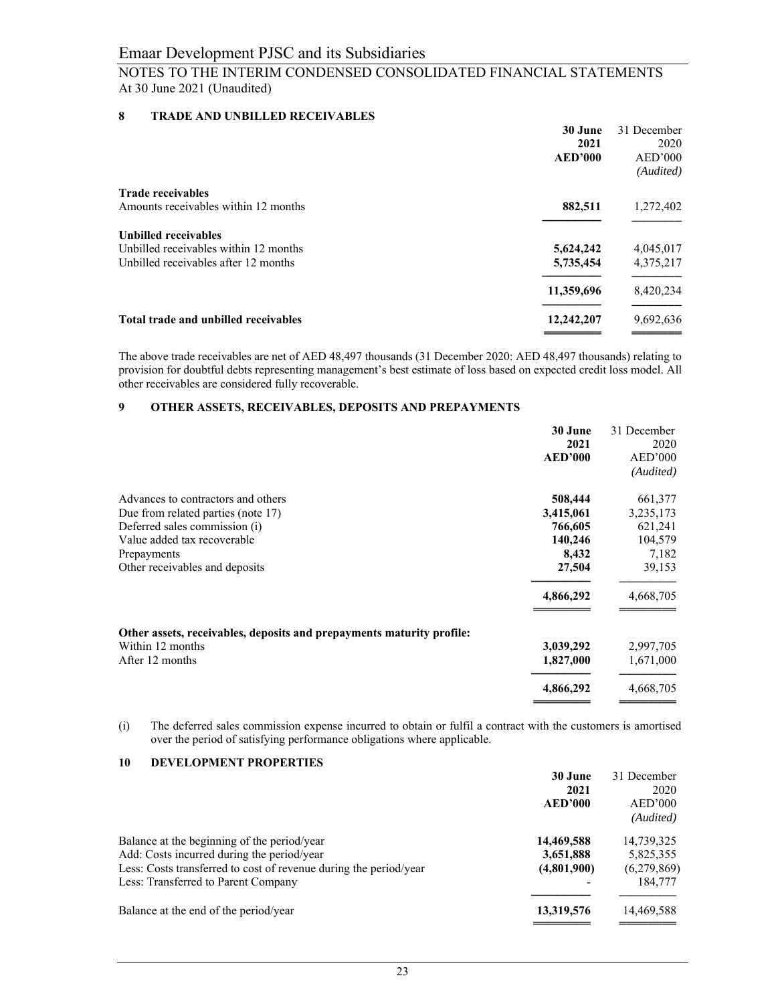### **8 TRADE AND UNBILLED RECEIVABLES**

|                                       | 30 June        | 31 December |
|---------------------------------------|----------------|-------------|
|                                       | 2021           | 2020        |
|                                       | <b>AED'000</b> | AED'000     |
|                                       |                | (Audited)   |
| <b>Trade receivables</b>              |                |             |
| Amounts receivables within 12 months  | 882,511        | 1,272,402   |
|                                       |                |             |
| <b>Unbilled receivables</b>           |                |             |
| Unbilled receivables within 12 months | 5,624,242      | 4,045,017   |
| Unbilled receivables after 12 months  | 5,735,454      | 4,375,217   |
|                                       | 11,359,696     | 8,420,234   |
| Total trade and unbilled receivables  | 12,242,207     | 9,692,636   |
|                                       |                |             |

The above trade receivables are net of AED 48,497 thousands (31 December 2020: AED 48,497 thousands) relating to provision for doubtful debts representing management's best estimate of loss based on expected credit loss model. All other receivables are considered fully recoverable.

### **9 OTHER ASSETS, RECEIVABLES, DEPOSITS AND PREPAYMENTS**

| 30 June<br>2021<br><b>AED'000</b>                                     | 31 December<br>2020<br>AED'000<br>(Audited) |
|-----------------------------------------------------------------------|---------------------------------------------|
| 508,444<br>Advances to contractors and others                         | 661,377                                     |
| Due from related parties (note 17)<br>3,415,061                       | 3,235,173                                   |
| Deferred sales commission (i)<br>766,605                              | 621,241                                     |
| Value added tax recoverable<br>140,246                                | 104,579                                     |
| 8,432<br>Prepayments                                                  | 7,182                                       |
| 27,504<br>Other receivables and deposits                              | 39,153                                      |
| 4,866,292                                                             | 4,668,705                                   |
| Other assets, receivables, deposits and prepayments maturity profile: |                                             |
| Within 12 months<br>3,039,292                                         | 2,997,705                                   |
| After 12 months<br>1,827,000                                          | 1,671,000                                   |
| 4,866,292                                                             | 4,668,705                                   |

(i) The deferred sales commission expense incurred to obtain or fulfil a contract with the customers is amortised over the period of satisfying performance obligations where applicable.

#### **10 DEVELOPMENT PROPERTIES**

|                                                                   | 30 June        | 31 December |
|-------------------------------------------------------------------|----------------|-------------|
|                                                                   | 2021           | 2020        |
|                                                                   | <b>AED'000</b> | AED'000     |
|                                                                   |                | (Audited)   |
| Balance at the beginning of the period/year                       | 14,469,588     | 14,739,325  |
| Add: Costs incurred during the period/year                        | 3,651,888      | 5,825,355   |
| Less: Costs transferred to cost of revenue during the period/year | (4,801,900)    | (6,279,869) |
| Less: Transferred to Parent Company                               |                | 184,777     |
| Balance at the end of the period/year                             | 13,319,576     | 14,469,588  |
|                                                                   |                |             |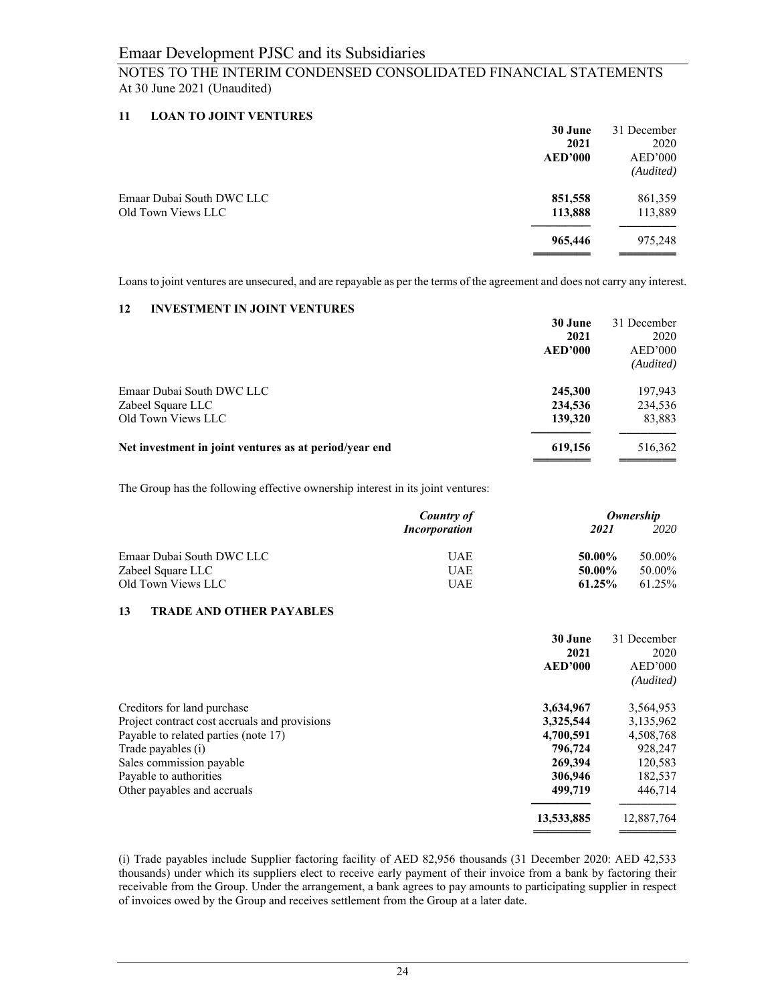### **11 LOAN TO JOINT VENTURES**

|                           | 30 June        | 31 December |
|---------------------------|----------------|-------------|
|                           | 2021           | 2020        |
|                           | <b>AED'000</b> | AED'000     |
|                           |                | (Audited)   |
| Emaar Dubai South DWC LLC | 851,558        | 861,359     |
| Old Town Views LLC        | 113,888        | 113,889     |
|                           | 965,446        | 975,248     |
|                           |                |             |

Loans to joint ventures are unsecured, and are repayable as per the terms of the agreement and does not carry any interest.

### **12 INVESTMENT IN JOINT VENTURES**

|                                                        | 30 June        | 31 December |
|--------------------------------------------------------|----------------|-------------|
|                                                        | 2021           | 2020        |
|                                                        | <b>AED'000</b> | AED'000     |
|                                                        |                | (Audited)   |
| Emaar Dubai South DWC LLC                              | 245,300        | 197,943     |
| Zabeel Square LLC                                      | 234,536        | 234,536     |
| Old Town Views LLC                                     | 139,320        | 83,883      |
| Net investment in joint ventures as at period/year end | 619,156        | 516,362     |
|                                                        |                |             |

The Group has the following effective ownership interest in its joint ventures:

|                           | <b>Country of</b>    | Ownership |        |  |
|---------------------------|----------------------|-----------|--------|--|
|                           | <i>Incorporation</i> | 2021      | 2020   |  |
| Emaar Dubai South DWC LLC | <b>UAE</b>           | 50.00%    | 50.00% |  |
| Zabeel Square LLC         | <b>UAE</b>           | 50.00%    | 50.00% |  |
| Old Town Views LLC        | <b>UAE</b>           | 61.25%    | 61.25% |  |

### **13 TRADE AND OTHER PAYABLES**

|                                               | 30 June<br>2021<br><b>AED'000</b> | 31 December<br>2020<br>AED'000<br>(Audited) |
|-----------------------------------------------|-----------------------------------|---------------------------------------------|
| Creditors for land purchase                   | 3,634,967                         | 3,564,953                                   |
| Project contract cost accruals and provisions | 3,325,544                         | 3,135,962                                   |
| Payable to related parties (note 17)          | 4,700,591                         | 4,508,768                                   |
| Trade payables (i)                            | 796,724                           | 928,247                                     |
| Sales commission payable                      | 269,394                           | 120,583                                     |
| Payable to authorities                        | 306,946                           | 182,537                                     |
| Other payables and accruals                   | 499,719                           | 446,714                                     |
|                                               | 13,533,885                        | 12,887,764                                  |
|                                               |                                   |                                             |

(i) Trade payables include Supplier factoring facility of AED 82,956 thousands (31 December 2020: AED 42,533 thousands) under which its suppliers elect to receive early payment of their invoice from a bank by factoring their receivable from the Group. Under the arrangement, a bank agrees to pay amounts to participating supplier in respect of invoices owed by the Group and receives settlement from the Group at a later date.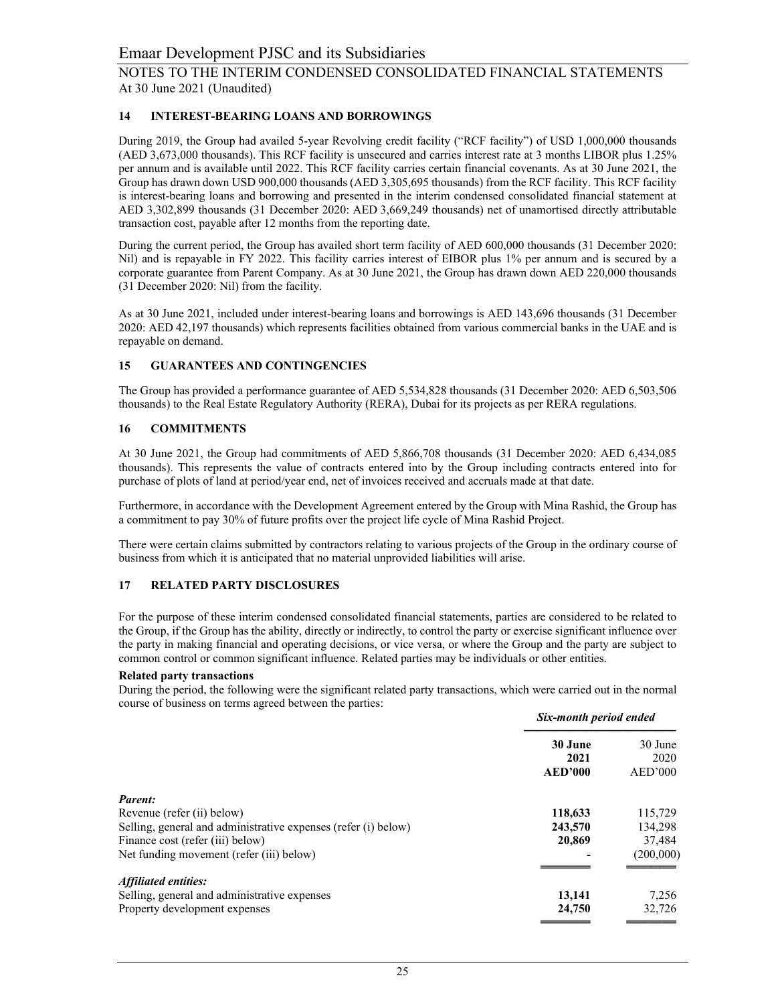### **14 INTEREST-BEARING LOANS AND BORROWINGS**

During 2019, the Group had availed 5-year Revolving credit facility ("RCF facility") of USD 1,000,000 thousands (AED 3,673,000 thousands). This RCF facility is unsecured and carries interest rate at 3 months LIBOR plus 1.25% per annum and is available until 2022. This RCF facility carries certain financial covenants. As at 30 June 2021, the Group has drawn down USD 900,000 thousands (AED 3,305,695 thousands) from the RCF facility. This RCF facility is interest-bearing loans and borrowing and presented in the interim condensed consolidated financial statement at AED 3,302,899 thousands (31 December 2020: AED 3,669,249 thousands) net of unamortised directly attributable transaction cost, payable after 12 months from the reporting date.

During the current period, the Group has availed short term facility of AED 600,000 thousands (31 December 2020: Nil) and is repayable in FY 2022. This facility carries interest of EIBOR plus 1% per annum and is secured by a corporate guarantee from Parent Company. As at 30 June 2021, the Group has drawn down AED 220,000 thousands (31 December 2020: Nil) from the facility.

As at 30 June 2021, included under interest-bearing loans and borrowings is AED 143,696 thousands (31 December 2020: AED 42,197 thousands) which represents facilities obtained from various commercial banks in the UAE and is repayable on demand.

### **15 GUARANTEES AND CONTINGENCIES**

The Group has provided a performance guarantee of AED 5,534,828 thousands (31 December 2020: AED 6,503,506 thousands) to the Real Estate Regulatory Authority (RERA), Dubai for its projects as per RERA regulations.

### **16 COMMITMENTS**

At 30 June 2021, the Group had commitments of AED 5,866,708 thousands (31 December 2020: AED 6,434,085 thousands). This represents the value of contracts entered into by the Group including contracts entered into for purchase of plots of land at period/year end, net of invoices received and accruals made at that date.

Furthermore, in accordance with the Development Agreement entered by the Group with Mina Rashid, the Group has a commitment to pay 30% of future profits over the project life cycle of Mina Rashid Project.

There were certain claims submitted by contractors relating to various projects of the Group in the ordinary course of business from which it is anticipated that no material unprovided liabilities will arise.

### **17 RELATED PARTY DISCLOSURES**

For the purpose of these interim condensed consolidated financial statements, parties are considered to be related to the Group, if the Group has the ability, directly or indirectly, to control the party or exercise significant influence over the party in making financial and operating decisions, or vice versa, or where the Group and the party are subject to common control or common significant influence. Related parties may be individuals or other entities.

### **Related party transactions**

During the period, the following were the significant related party transactions, which were carried out in the normal course of business on terms agreed between the parties:

|                                                                | Six-month period ended            |                            |
|----------------------------------------------------------------|-----------------------------------|----------------------------|
|                                                                | 30 June<br>2021<br><b>AED'000</b> | 30 June<br>2020<br>AED'000 |
| <b>Parent:</b>                                                 |                                   |                            |
| Revenue (refer (ii) below)                                     | 118,633                           | 115,729                    |
| Selling, general and administrative expenses (refer (i) below) | 243,570                           | 134,298                    |
| Finance cost (refer (iii) below)                               | 20,869                            | 37,484                     |
| Net funding movement (refer (iii) below)                       |                                   | (200,000)                  |
| <i><b>Affiliated entities:</b></i>                             |                                   |                            |
| Selling, general and administrative expenses                   | 13,141                            | 7,256                      |
| Property development expenses                                  | 24,750                            | 32,726                     |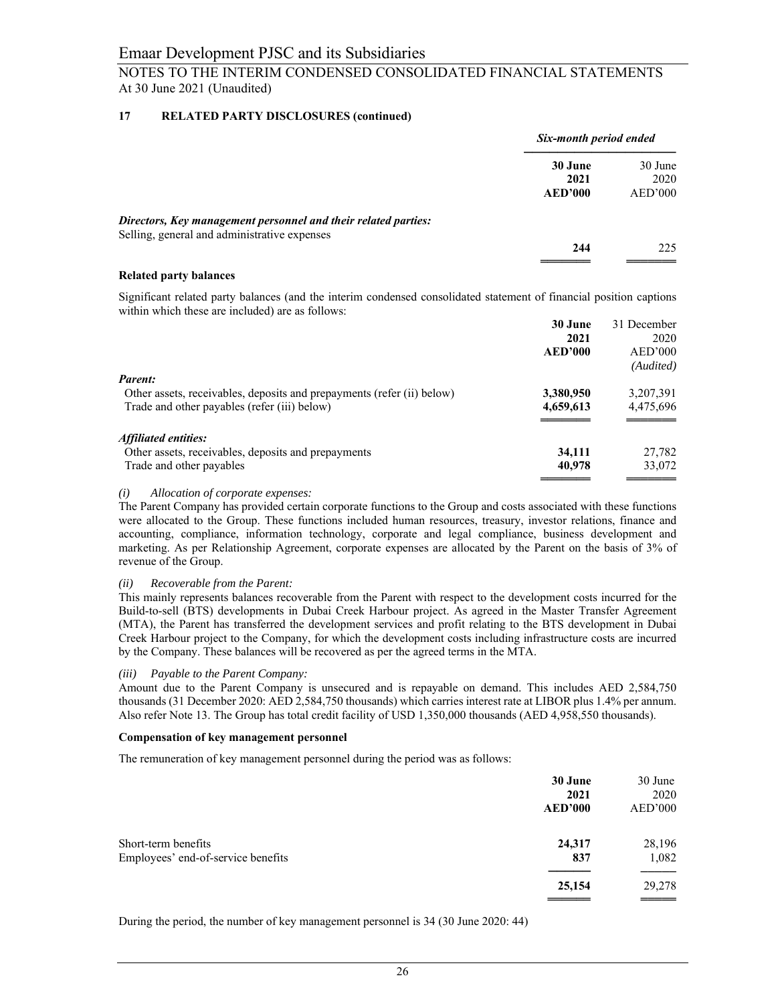### **17 RELATED PARTY DISCLOSURES (continued)**

|                                                                                                                | Six-month period ended |         |
|----------------------------------------------------------------------------------------------------------------|------------------------|---------|
|                                                                                                                | 30 June                | 30 June |
|                                                                                                                | 2021                   | 2020    |
|                                                                                                                | <b>AED'000</b>         | AED'000 |
| Directors, Key management personnel and their related parties:<br>Selling, general and administrative expenses |                        |         |
|                                                                                                                | 244                    | 225     |
|                                                                                                                |                        |         |

#### **Related party balances**

Significant related party balances (and the interim condensed consolidated statement of financial position captions within which these are included) are as follows:

|                                                                        | 30 June        | 31 December |
|------------------------------------------------------------------------|----------------|-------------|
|                                                                        | 2021           | 2020        |
|                                                                        | <b>AED'000</b> | AED'000     |
|                                                                        |                | (Audited)   |
| Parent:                                                                |                |             |
| Other assets, receivables, deposits and prepayments (refer (ii) below) | 3,380,950      | 3,207,391   |
| Trade and other payables (refer (iii) below)                           | 4,659,613      | 4,475,696   |
|                                                                        |                |             |
| <i><b>Affiliated entities:</b></i>                                     |                |             |
| Other assets, receivables, deposits and prepayments                    | 34,111         | 27,782      |
| Trade and other payables                                               | 40,978         | 33,072      |
|                                                                        |                |             |

#### *(i) Allocation of corporate expenses:*

The Parent Company has provided certain corporate functions to the Group and costs associated with these functions were allocated to the Group. These functions included human resources, treasury, investor relations, finance and accounting, compliance, information technology, corporate and legal compliance, business development and marketing. As per Relationship Agreement, corporate expenses are allocated by the Parent on the basis of 3% of revenue of the Group.

#### *(ii) Recoverable from the Parent:*

This mainly represents balances recoverable from the Parent with respect to the development costs incurred for the Build-to-sell (BTS) developments in Dubai Creek Harbour project. As agreed in the Master Transfer Agreement (MTA), the Parent has transferred the development services and profit relating to the BTS development in Dubai Creek Harbour project to the Company, for which the development costs including infrastructure costs are incurred by the Company. These balances will be recovered as per the agreed terms in the MTA.

### *(iii) Payable to the Parent Company:*

Amount due to the Parent Company is unsecured and is repayable on demand. This includes AED 2,584,750 thousands (31 December 2020: AED 2,584,750 thousands) which carries interest rate at LIBOR plus 1.4% per annum. Also refer Note 13. The Group has total credit facility of USD 1,350,000 thousands (AED 4,958,550 thousands).

#### **Compensation of key management personnel**

The remuneration of key management personnel during the period was as follows:

|                                                           | 30 June<br>2021<br><b>AED'000</b> | 30 June<br>2020<br>AED'000 |
|-----------------------------------------------------------|-----------------------------------|----------------------------|
| Short-term benefits<br>Employees' end-of-service benefits | 24,317<br>837                     | 28,196<br>1,082            |
|                                                           | 25,154                            | 29,278                     |

During the period, the number of key management personnel is 34 (30 June 2020: 44)